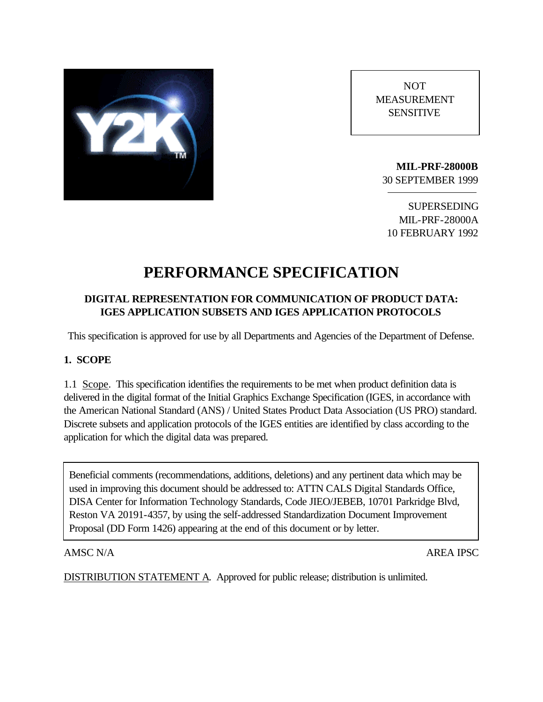

NOT MEASUREMENT SENSITIVE

> **MIL-PRF-28000B** 30 SEPTEMBER 1999

SUPERSEDING MIL-PRF-28000A 10 FEBRUARY 1992

# **PERFORMANCE SPECIFICATION**

# **DIGITAL REPRESENTATION FOR COMMUNICATION OF PRODUCT DATA: IGES APPLICATION SUBSETS AND IGES APPLICATION PROTOCOLS**

This specification is approved for use by all Departments and Agencies of the Department of Defense.

# **1. SCOPE**

1.1 Scope. This specification identifies the requirements to be met when product definition data is delivered in the digital format of the Initial Graphics Exchange Specification (IGES, in accordance with the American National Standard (ANS) / United States Product Data Association (US PRO) standard. Discrete subsets and application protocols of the IGES entities are identified by class according to the application for which the digital data was prepared.

Beneficial comments (recommendations, additions, deletions) and any pertinent data which may be used in improving this document should be addressed to: ATTN CALS Digital Standards Office, DISA Center for Information Technology Standards, Code JIEO/JEBEB, 10701 Parkridge Blvd, Reston VA 20191-4357, by using the self-addressed Standardization Document Improvement Proposal (DD Form 1426) appearing at the end of this document or by letter.

AMSC N/A AREA IPSC

DISTRIBUTION STATEMENT A. Approved for public release; distribution is unlimited.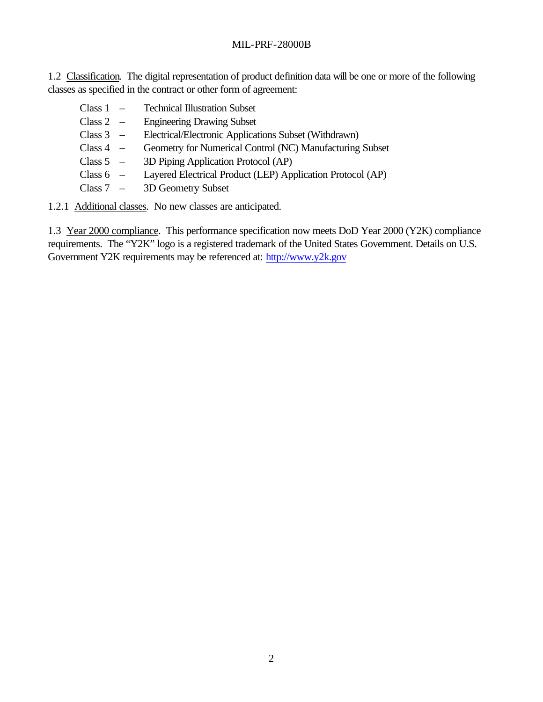1.2 Classification. The digital representation of product definition data will be one or more of the following classes as specified in the contract or other form of agreement:

| Class $1 -$ | <b>Technical Illustration Subset</b>                       |
|-------------|------------------------------------------------------------|
| $Class 2 -$ | <b>Engineering Drawing Subset</b>                          |
| $Class 3 -$ | Electrical/Electronic Applications Subset (Withdrawn)      |
| $Class 4 -$ | Geometry for Numerical Control (NC) Manufacturing Subset   |
| $Class 5 -$ | 3D Piping Application Protocol (AP)                        |
| Class $6 -$ | Layered Electrical Product (LEP) Application Protocol (AP) |
| $Class 7 -$ | 3D Geometry Subset                                         |

1.2.1 Additional classes. No new classes are anticipated.

1.3 Year 2000 compliance. This performance specification now meets DoD Year 2000 (Y2K) compliance requirements. The "Y2K" logo is a registered trademark of the United States Government. Details on U.S. Government Y2K requirements may be referenced at: http://www.y2k.gov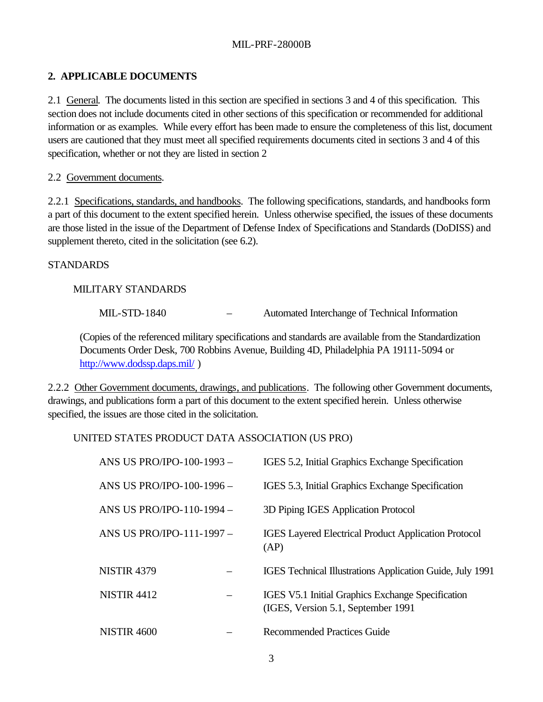# **2. APPLICABLE DOCUMENTS**

2.1 General. The documents listed in this section are specified in sections 3 and 4 of this specification. This section does not include documents cited in other sections of this specification or recommended for additional information or as examples. While every effort has been made to ensure the completeness of this list, document users are cautioned that they must meet all specified requirements documents cited in sections 3 and 4 of this specification, whether or not they are listed in section 2

#### 2.2 Government documents.

2.2.1 Specifications, standards, and handbooks. The following specifications, standards, and handbooks form a part of this document to the extent specified herein. Unless otherwise specified, the issues of these documents are those listed in the issue of the Department of Defense Index of Specifications and Standards (DoDISS) and supplement thereto, cited in the solicitation (see 6.2).

## STANDARDS

## MILITARY STANDARDS

MIL-STD-1840 – Automated Interchange of Technical Information

(Copies of the referenced military specifications and standards are available from the Standardization Documents Order Desk, 700 Robbins Avenue, Building 4D, Philadelphia PA 19111-5094 or http://www.dodssp.daps.mil/ )

2.2.2 Other Government documents, drawings, and publications. The following other Government documents, drawings, and publications form a part of this document to the extent specified herein. Unless otherwise specified, the issues are those cited in the solicitation.

UNITED STATES PRODUCT DATA ASSOCIATION (US PRO)

| ANS US PRO/IPO-100-1993-  | IGES 5.2, Initial Graphics Exchange Specification                                        |
|---------------------------|------------------------------------------------------------------------------------------|
| ANS US PRO/IPO-100-1996-  | IGES 5.3, Initial Graphics Exchange Specification                                        |
| ANS US PRO/IPO-110-1994 - | 3D Piping IGES Application Protocol                                                      |
| ANS US PRO/IPO-111-1997 - | <b>IGES Layered Electrical Product Application Protocol</b><br>(AP)                      |
| <b>NISTIR 4379</b>        | IGES Technical Illustrations Application Guide, July 1991                                |
| <b>NISTIR 4412</b>        | IGES V5.1 Initial Graphics Exchange Specification<br>(IGES, Version 5.1, September 1991) |
| <b>NISTIR 4600</b>        | <b>Recommended Practices Guide</b>                                                       |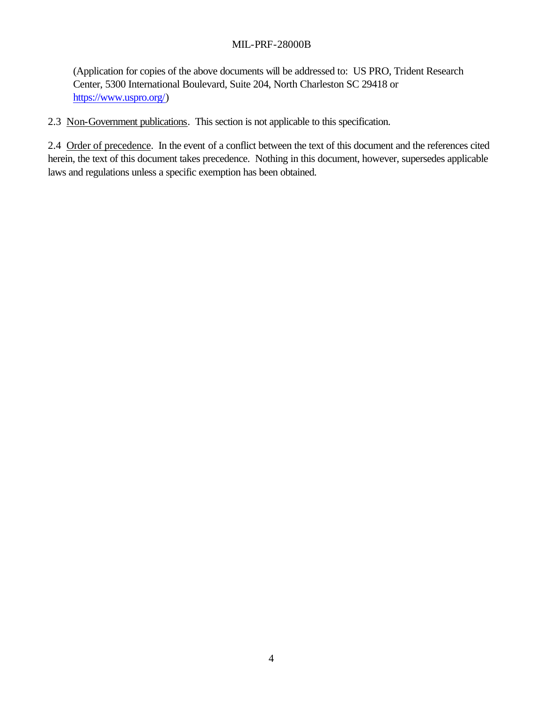(Application for copies of the above documents will be addressed to: US PRO, Trident Research Center, 5300 International Boulevard, Suite 204, North Charleston SC 29418 or https://www.uspro.org/)

2.3 Non-Government publications. This section is not applicable to this specification.

2.4 Order of precedence. In the event of a conflict between the text of this document and the references cited herein, the text of this document takes precedence. Nothing in this document, however, supersedes applicable laws and regulations unless a specific exemption has been obtained.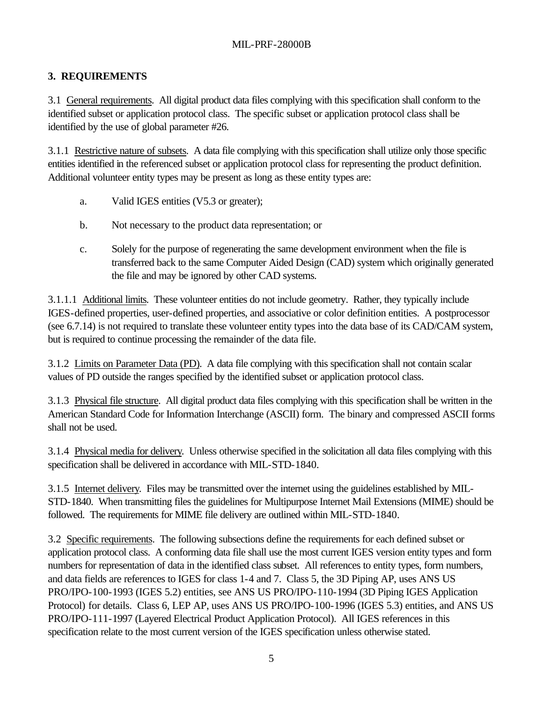# **3. REQUIREMENTS**

3.1 General requirements. All digital product data files complying with this specification shall conform to the identified subset or application protocol class. The specific subset or application protocol class shall be identified by the use of global parameter #26.

3.1.1 Restrictive nature of subsets. A data file complying with this specification shall utilize only those specific entities identified in the referenced subset or application protocol class for representing the product definition. Additional volunteer entity types may be present as long as these entity types are:

- a. Valid IGES entities (V5.3 or greater);
- b. Not necessary to the product data representation; or
- c. Solely for the purpose of regenerating the same development environment when the file is transferred back to the same Computer Aided Design (CAD) system which originally generated the file and may be ignored by other CAD systems.

3.1.1.1 Additional limits. These volunteer entities do not include geometry. Rather, they typically include IGES-defined properties, user-defined properties, and associative or color definition entities. A postprocessor (see 6.7.14) is not required to translate these volunteer entity types into the data base of its CAD/CAM system, but is required to continue processing the remainder of the data file.

3.1.2 Limits on Parameter Data (PD). A data file complying with this specification shall not contain scalar values of PD outside the ranges specified by the identified subset or application protocol class.

3.1.3 Physical file structure. All digital product data files complying with this specification shall be written in the American Standard Code for Information Interchange (ASCII) form. The binary and compressed ASCII forms shall not be used.

3.1.4 Physical media for delivery. Unless otherwise specified in the solicitation all data files complying with this specification shall be delivered in accordance with MIL-STD-1840.

3.1.5 Internet delivery. Files may be transmitted over the internet using the guidelines established by MIL-STD-1840. When transmitting files the guidelines for Multipurpose Internet Mail Extensions (MIME) should be followed. The requirements for MIME file delivery are outlined within MIL-STD-1840.

3.2 Specific requirements. The following subsections define the requirements for each defined subset or application protocol class. A conforming data file shall use the most current IGES version entity types and form numbers for representation of data in the identified class subset. All references to entity types, form numbers, and data fields are references to IGES for class 1-4 and 7. Class 5, the 3D Piping AP, uses ANS US PRO/IPO-100-1993 (IGES 5.2) entities, see ANS US PRO/IPO-110-1994 (3D Piping IGES Application Protocol) for details. Class 6, LEP AP, uses ANS US PRO/IPO-100-1996 (IGES 5.3) entities, and ANS US PRO/IPO-111-1997 (Layered Electrical Product Application Protocol). All IGES references in this specification relate to the most current version of the IGES specification unless otherwise stated.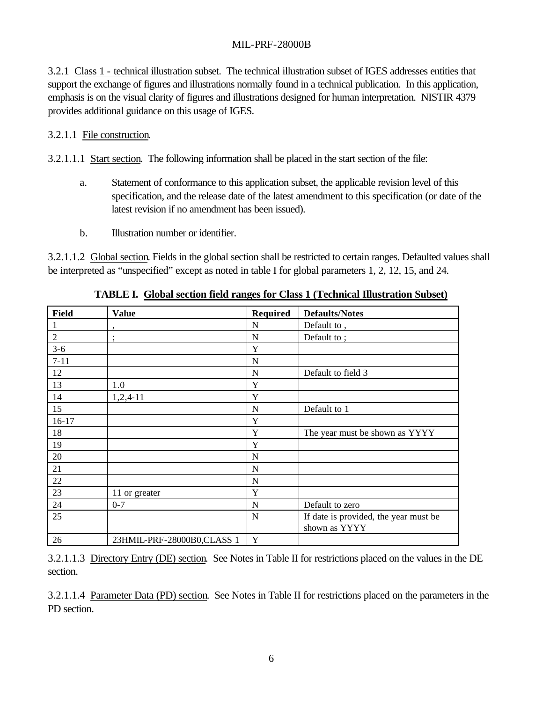3.2.1 Class 1 - technical illustration subset. The technical illustration subset of IGES addresses entities that support the exchange of figures and illustrations normally found in a technical publication. In this application, emphasis is on the visual clarity of figures and illustrations designed for human interpretation. NISTIR 4379 provides additional guidance on this usage of IGES.

## 3.2.1.1 File construction.

3.2.1.1.1 Start section. The following information shall be placed in the start section of the file:

- a. Statement of conformance to this application subset, the applicable revision level of this specification, and the release date of the latest amendment to this specification (or date of the latest revision if no amendment has been issued).
- b. Illustration number or identifier.

3.2.1.1.2 Global section. Fields in the global section shall be restricted to certain ranges. Defaulted values shall be interpreted as "unspecified" except as noted in table I for global parameters 1, 2, 12, 15, and 24.

| <b>Field</b> | <b>Value</b>               | Required | <b>Defaults/Notes</b>                 |
|--------------|----------------------------|----------|---------------------------------------|
| $\perp$      |                            | N        | Default to,                           |
| $\mathbf{2}$ | ۰                          | N        | Default to;                           |
| $3-6$        |                            | Y        |                                       |
| $7 - 11$     |                            | N        |                                       |
| 12           |                            | N        | Default to field 3                    |
| 13           | 1.0                        | Y        |                                       |
| 14           | $1,2,4-11$                 | Y        |                                       |
| 15           |                            | N        | Default to 1                          |
| $16 - 17$    |                            | Y        |                                       |
| 18           |                            | Y        | The year must be shown as YYYY        |
| 19           |                            | Y        |                                       |
| 20           |                            | N        |                                       |
| 21           |                            | N        |                                       |
| 22           |                            | N        |                                       |
| 23           | 11 or greater              | Y        |                                       |
| 24           | $0 - 7$                    | N        | Default to zero                       |
| 25           |                            | N        | If date is provided, the year must be |
|              |                            |          | shown as YYYY                         |
| 26           | 23HMIL-PRF-28000B0,CLASS 1 | Y        |                                       |

**TABLE I. Global section field ranges for Class 1 (Technical Illustration Subset)**

3.2.1.1.3 Directory Entry (DE) section. See Notes in Table II for restrictions placed on the values in the DE section.

3.2.1.1.4 Parameter Data (PD) section. See Notes in Table II for restrictions placed on the parameters in the PD section.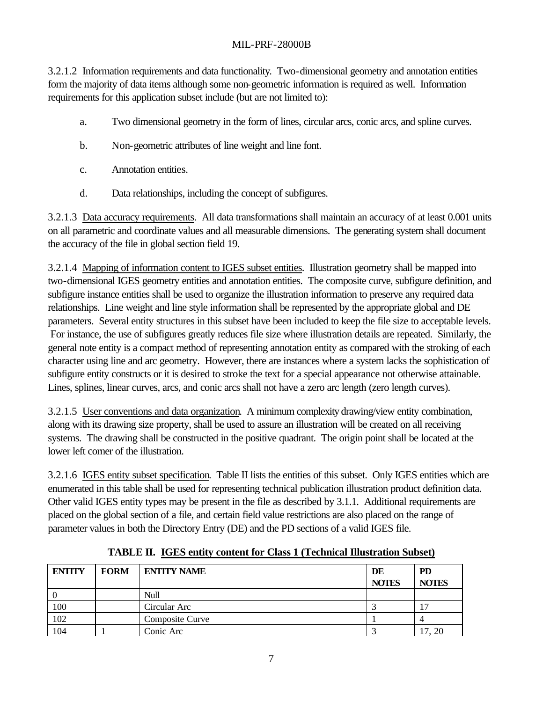3.2.1.2 Information requirements and data functionality. Two-dimensional geometry and annotation entities form the majority of data items although some non-geometric information is required as well. Information requirements for this application subset include (but are not limited to):

- a. Two dimensional geometry in the form of lines, circular arcs, conic arcs, and spline curves.
- b. Non-geometric attributes of line weight and line font.
- c. Annotation entities.
- d. Data relationships, including the concept of subfigures.

3.2.1.3 Data accuracy requirements. All data transformations shall maintain an accuracy of at least 0.001 units on all parametric and coordinate values and all measurable dimensions. The generating system shall document the accuracy of the file in global section field 19.

3.2.1.4 Mapping of information content to IGES subset entities. Illustration geometry shall be mapped into two-dimensional IGES geometry entities and annotation entities. The composite curve, subfigure definition, and subfigure instance entities shall be used to organize the illustration information to preserve any required data relationships. Line weight and line style information shall be represented by the appropriate global and DE parameters. Several entity structures in this subset have been included to keep the file size to acceptable levels. For instance, the use of subfigures greatly reduces file size where illustration details are repeated. Similarly, the general note entity is a compact method of representing annotation entity as compared with the stroking of each character using line and arc geometry. However, there are instances where a system lacks the sophistication of subfigure entity constructs or it is desired to stroke the text for a special appearance not otherwise attainable. Lines, splines, linear curves, arcs, and conic arcs shall not have a zero arc length (zero length curves).

3.2.1.5 User conventions and data organization. A minimum complexity drawing/view entity combination, along with its drawing size property, shall be used to assure an illustration will be created on all receiving systems. The drawing shall be constructed in the positive quadrant. The origin point shall be located at the lower left corner of the illustration.

3.2.1.6 IGES entity subset specification. Table II lists the entities of this subset. Only IGES entities which are enumerated in this table shall be used for representing technical publication illustration product definition data. Other valid IGES entity types may be present in the file as described by 3.1.1. Additional requirements are placed on the global section of a file, and certain field value restrictions are also placed on the range of parameter values in both the Directory Entry (DE) and the PD sections of a valid IGES file.

| <b>ENTITY</b> | <b>FORM</b> | <b>ENTITY NAME</b> | DE<br><b>NOTES</b> | <b>PD</b><br><b>NOTES</b> |
|---------------|-------------|--------------------|--------------------|---------------------------|
| 0             |             | Null               |                    |                           |
| 100           |             | Circular Arc       |                    | −                         |
| 102           |             | Composite Curve    |                    |                           |
| 104           |             | Conic Arc          |                    | 17, 20                    |

**TABLE II. IGES entity content for Class 1 (Technical Illustration Subset)**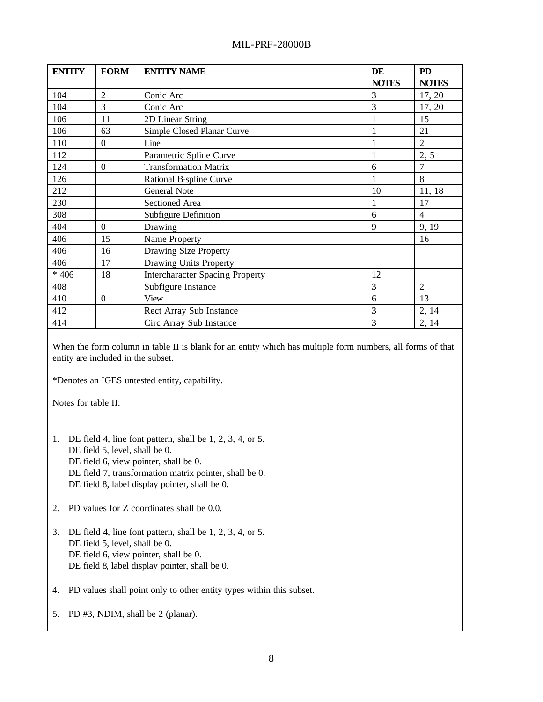| <b>ENTITY</b> | <b>FORM</b>    | <b>ENTITY NAME</b>                     | DE           | <b>PD</b>      |
|---------------|----------------|----------------------------------------|--------------|----------------|
|               |                |                                        | <b>NOTES</b> | <b>NOTES</b>   |
| 104           | $\mathfrak{2}$ | Conic Arc                              | 3            | 17, 20         |
| 104           | 3              | Conic Arc                              | 3            | 17, 20         |
| 106           | 11             | 2D Linear String                       |              | 15             |
| 106           | 63             | Simple Closed Planar Curve             |              | 21             |
| 110           | $\Omega$       | Line                                   |              | $\overline{2}$ |
| 112           |                | Parametric Spline Curve                |              | 2, 5           |
| 124           | $\Omega$       | <b>Transformation Matrix</b>           | 6            | 7              |
| 126           |                | Rational B-spline Curve                |              | 8              |
| 212           |                | <b>General Note</b>                    | 10           | 11, 18         |
| 230           |                | Sectioned Area                         |              | 17             |
| 308           |                | Subfigure Definition                   | 6            | $\overline{4}$ |
| 404           | $\mathbf{0}$   | Drawing                                | $\mathbf Q$  | 9, 19          |
| 406           | 15             | Name Property                          |              | 16             |
| 406           | 16             | Drawing Size Property                  |              |                |
| 406           | 17             | Drawing Units Property                 |              |                |
| $*406$        | 18             | <b>Intercharacter Spacing Property</b> | 12           |                |
| 408           |                | Subfigure Instance                     | 3            | $\overline{2}$ |
| 410           | $\mathbf{0}$   | View                                   | 6            | 13             |
| 412           |                | Rect Array Sub Instance                | 3            | 2, 14          |
| 414           |                | Circ Array Sub Instance                | 3            | 2, 14          |

When the form column in table II is blank for an entity which has multiple form numbers, all forms of that entity are included in the subset.

\*Denotes an IGES untested entity, capability.

Notes for table II:

- 1. DE field 4, line font pattern, shall be 1, 2, 3, 4, or 5. DE field 5, level, shall be 0. DE field 6, view pointer, shall be 0. DE field 7, transformation matrix pointer, shall be 0. DE field 8, label display pointer, shall be 0.
- 2. PD values for Z coordinates shall be 0.0.
- 3. DE field 4, line font pattern, shall be 1, 2, 3, 4, or 5. DE field 5, level, shall be 0. DE field 6, view pointer, shall be 0. DE field 8, label display pointer, shall be 0.
- 4. PD values shall point only to other entity types within this subset.
- 5. PD #3, NDIM, shall be 2 (planar).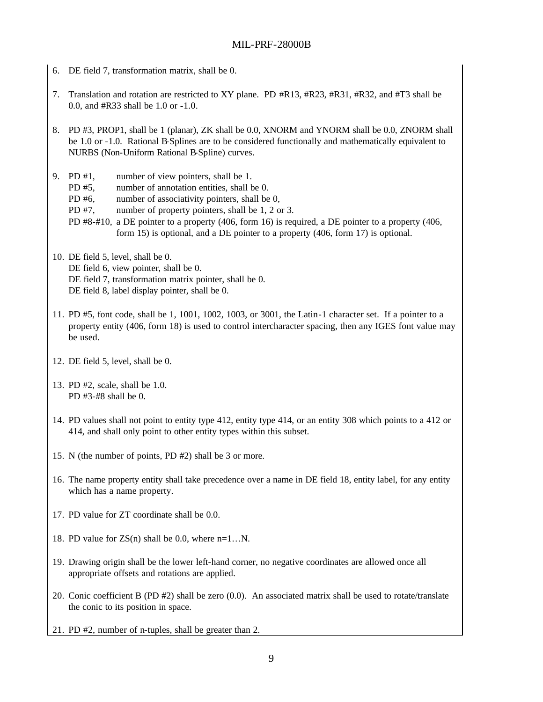- 6. DE field 7, transformation matrix, shall be 0.
- 7. Translation and rotation are restricted to XY plane. PD #R13, #R23, #R31, #R32, and #T3 shall be 0.0, and #R33 shall be 1.0 or -1.0.
- 8. PD #3, PROP1, shall be 1 (planar), ZK shall be 0.0, XNORM and YNORM shall be 0.0, ZNORM shall be 1.0 or -1.0. Rational B-Splines are to be considered functionally and mathematically equivalent to NURBS (Non-Uniform Rational B-Spline) curves.
- 9. PD #1, number of view pointers, shall be 1.
	- PD #5, number of annotation entities, shall be 0.
	- PD #6, number of associativity pointers, shall be 0,
	- PD #7, number of property pointers, shall be 1, 2 or 3.
	- PD #8-#10, a DE pointer to a property (406, form 16) is required, a DE pointer to a property (406, form 15) is optional, and a DE pointer to a property (406, form 17) is optional.
- 10. DE field 5, level, shall be 0. DE field 6, view pointer, shall be 0. DE field 7, transformation matrix pointer, shall be 0. DE field 8, label display pointer, shall be 0.
- 11. PD #5, font code, shall be 1, 1001, 1002, 1003, or 3001, the Latin-1 character set. If a pointer to a property entity (406, form 18) is used to control intercharacter spacing, then any IGES font value may be used.
- 12. DE field 5, level, shall be 0.
- 13. PD #2, scale, shall be 1.0. PD #3-#8 shall be 0.
- 14. PD values shall not point to entity type 412, entity type 414, or an entity 308 which points to a 412 or 414, and shall only point to other entity types within this subset.
- 15. N (the number of points, PD #2) shall be 3 or more.
- 16. The name property entity shall take precedence over a name in DE field 18, entity label, for any entity which has a name property.
- 17. PD value for ZT coordinate shall be 0.0.
- 18. PD value for  $ZS(n)$  shall be 0.0, where  $n=1...N$ .
- 19. Drawing origin shall be the lower left-hand corner, no negative coordinates are allowed once all appropriate offsets and rotations are applied.
- 20. Conic coefficient B (PD #2) shall be zero (0.0). An associated matrix shall be used to rotate/translate the conic to its position in space.
- 21. PD #2, number of n-tuples, shall be greater than 2.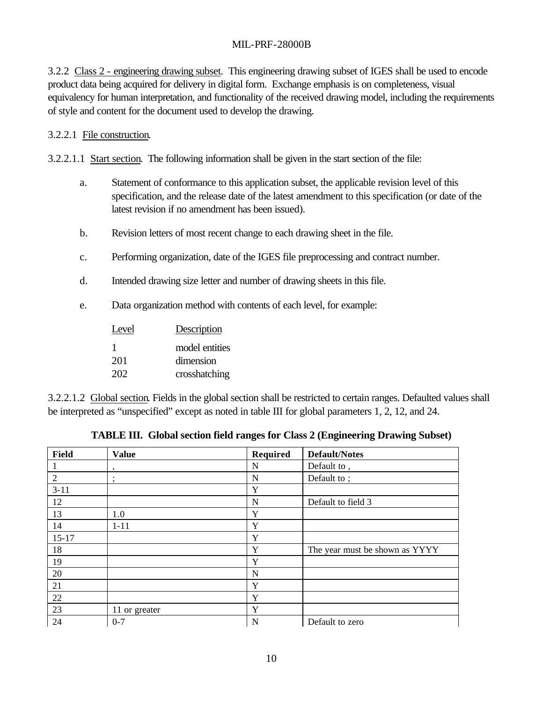3.2.2 Class 2 - engineering drawing subset. This engineering drawing subset of IGES shall be used to encode product data being acquired for delivery in digital form. Exchange emphasis is on completeness, visual equivalency for human interpretation, and functionality of the received drawing model, including the requirements of style and content for the document used to develop the drawing.

#### 3.2.2.1 File construction.

3.2.2.1.1 Start section. The following information shall be given in the start section of the file:

- a. Statement of conformance to this application subset, the applicable revision level of this specification, and the release date of the latest amendment to this specification (or date of the latest revision if no amendment has been issued).
- b. Revision letters of most recent change to each drawing sheet in the file.
- c. Performing organization, date of the IGES file preprocessing and contract number.
- d. Intended drawing size letter and number of drawing sheets in this file.
- e. Data organization method with contents of each level, for example:

| Level | Description    |
|-------|----------------|
|       | model entities |
| 201   | dimension      |
| 202   | crosshatching  |

3.2.2.1.2 Global section. Fields in the global section shall be restricted to certain ranges. Defaulted values shall be interpreted as "unspecified" except as noted in table III for global parameters 1, 2, 12, and 24.

| <b>Field</b>   | <b>Value</b>  | <b>Required</b> | <b>Default/Notes</b>           |
|----------------|---------------|-----------------|--------------------------------|
|                | ,             | N               | Default to,                    |
| $\overline{2}$ | ۰             | N               | Default to;                    |
| $3 - 11$       |               | Y               |                                |
| 12             |               | N               | Default to field 3             |
| 13             | 1.0           | Y               |                                |
| 14             | $1 - 11$      | Y               |                                |
| $15 - 17$      |               | Y               |                                |
| 18             |               | Y               | The year must be shown as YYYY |
| 19             |               | Y               |                                |
| 20             |               | N               |                                |
| 21             |               | Y               |                                |
| 22             |               | Y               |                                |
| 23             | 11 or greater | Y               |                                |
| 24             | $0 - 7$       | N               | Default to zero                |

**TABLE III. Global section field ranges for Class 2 (Engineering Drawing Subset)**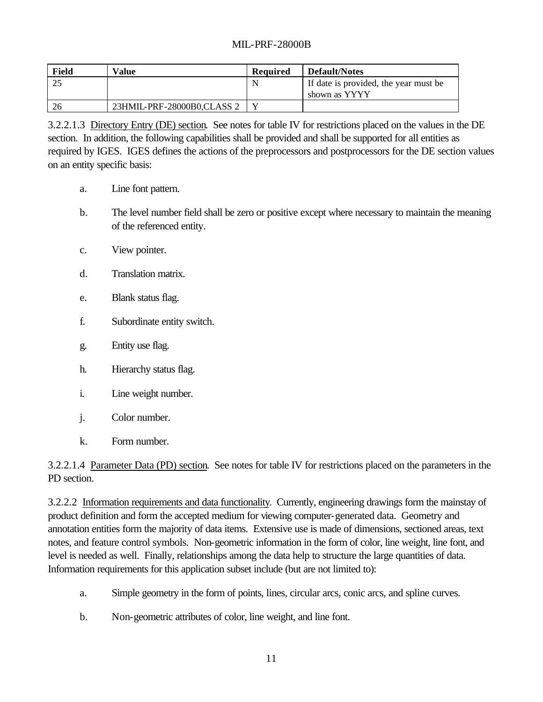| Field | Value                      | Required | Default/Notes                         |
|-------|----------------------------|----------|---------------------------------------|
|       |                            | N        | If date is provided, the year must be |
|       |                            |          | shown as YYYY                         |
| 26    | 23HMIL-PRF-28000B0.CLASS 2 |          |                                       |

3.2.2.1.3 Directory Entry (DE) section. See notes for table IV for restrictions placed on the values in the DE section. In addition, the following capabilities shall be provided and shall be supported for all entities as required by IGES. IGES defines the actions of the preprocessors and postprocessors for the DE section values on an entity specific basis:

- a. Line font pattern.
- b. The level number field shall be zero or positive except where necessary to maintain the meaning of the referenced entity.
- c. View pointer.
- d. Translation matrix.
- e. Blank status flag.
- f. Subordinate entity switch.
- g. Entity use flag.
- h. Hierarchy status flag.
- i. Line weight number.
- j. Color number.
- k. Form number.

3.2.2.1.4 Parameter Data (PD) section. See notes for table IV for restrictions placed on the parameters in the PD section.

3.2.2.2 Information requirements and data functionality. Currently, engineering drawings form the mainstay of product definition and form the accepted medium for viewing computer-generated data. Geometry and annotation entities form the majority of data items. Extensive use is made of dimensions, sectioned areas, text notes, and feature control symbols. Non-geometric information in the form of color, line weight, line font, and level is needed as well. Finally, relationships among the data help to structure the large quantities of data. Information requirements for this application subset include (but are not limited to):

- a. Simple geometry in the form of points, lines, circular arcs, conic arcs, and spline curves.
- b. Non-geometric attributes of color, line weight, and line font.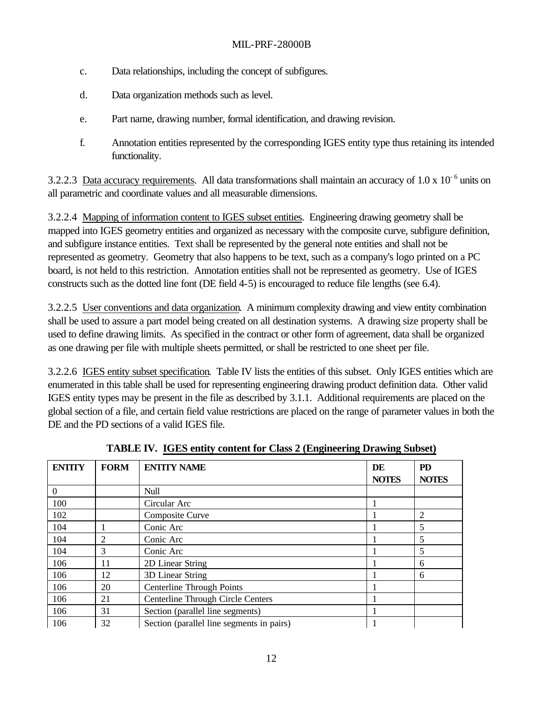- c. Data relationships, including the concept of subfigures.
- d. Data organization methods such as level.
- e. Part name, drawing number, formal identification, and drawing revision.
- f. Annotation entities represented by the corresponding IGES entity type thus retaining its intended functionality.

3.2.2.3 Data accuracy requirements. All data transformations shall maintain an accuracy of  $1.0 \times 10^{-6}$  units on all parametric and coordinate values and all measurable dimensions.

3.2.2.4 Mapping of information content to IGES subset entities. Engineering drawing geometry shall be mapped into IGES geometry entities and organized as necessary with the composite curve, subfigure definition, and subfigure instance entities. Text shall be represented by the general note entities and shall not be represented as geometry. Geometry that also happens to be text, such as a company's logo printed on a PC board, is not held to this restriction. Annotation entities shall not be represented as geometry. Use of IGES constructs such as the dotted line font (DE field 4-5) is encouraged to reduce file lengths (see 6.4).

3.2.2.5 User conventions and data organization. A minimum complexity drawing and view entity combination shall be used to assure a part model being created on all destination systems. A drawing size property shall be used to define drawing limits. As specified in the contract or other form of agreement, data shall be organized as one drawing per file with multiple sheets permitted, or shall be restricted to one sheet per file.

3.2.2.6 IGES entity subset specification. Table IV lists the entities of this subset. Only IGES entities which are enumerated in this table shall be used for representing engineering drawing product definition data. Other valid IGES entity types may be present in the file as described by 3.1.1. Additional requirements are placed on the global section of a file, and certain field value restrictions are placed on the range of parameter values in both the DE and the PD sections of a valid IGES file.

| <b>ENTITY</b>    | <b>FORM</b> | <b>ENTITY NAME</b>                        | DE<br><b>NOTES</b> | <b>PD</b><br><b>NOTES</b> |
|------------------|-------------|-------------------------------------------|--------------------|---------------------------|
| $\boldsymbol{0}$ |             | Null                                      |                    |                           |
| 100              |             | Circular Arc                              |                    |                           |
| 102              |             | Composite Curve                           |                    | 2                         |
| 104              |             | Conic Arc                                 |                    | 5                         |
| 104              | 2           | Conic Arc                                 |                    | 5                         |
| 104              | 3           | Conic Arc                                 |                    | 5                         |
| 106              | 11          | 2D Linear String                          |                    | 6                         |
| 106              | 12          | 3D Linear String                          |                    | 6                         |
| 106              | 20          | <b>Centerline Through Points</b>          |                    |                           |
| 106              | 21          | Centerline Through Circle Centers         |                    |                           |
| 106              | 31          | Section (parallel line segments)          |                    |                           |
| 106              | 32          | Section (parallel line segments in pairs) |                    |                           |

**TABLE IV. IGES entity content for Class 2 (Engineering Drawing Subset)**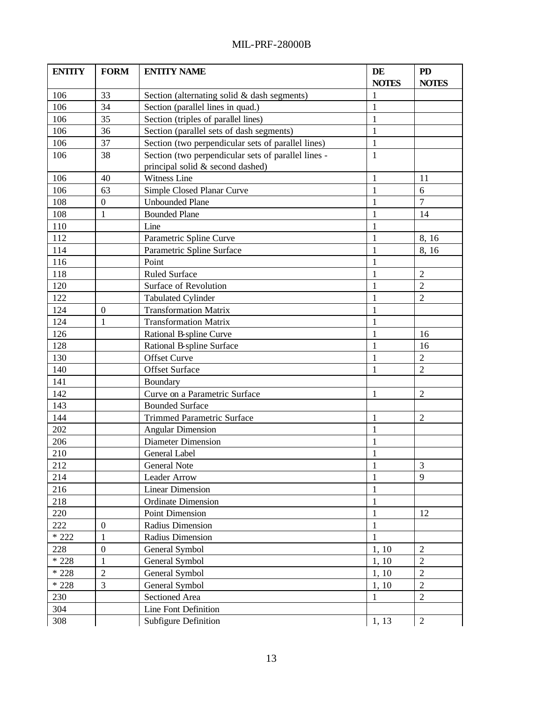| <b>ENTITY</b> | <b>FORM</b>      | <b>ENTITY NAME</b>                                                                      | DE<br><b>NOTES</b> | <b>PD</b><br><b>NOTES</b> |
|---------------|------------------|-----------------------------------------------------------------------------------------|--------------------|---------------------------|
| 106           | 33               | Section (alternating solid $&$ dash segments)                                           | 1                  |                           |
| 106           | 34               | Section (parallel lines in quad.)                                                       | $\mathbf{1}$       |                           |
| 106           | 35               | Section (triples of parallel lines)                                                     | $\mathbf{1}$       |                           |
| 106           | 36               | Section (parallel sets of dash segments)                                                | $\mathbf{1}$       |                           |
| 106           | 37               | Section (two perpendicular sets of parallel lines)                                      | $\mathbf{1}$       |                           |
| 106           | 38               | Section (two perpendicular sets of parallel lines -<br>principal solid & second dashed) | $\mathbf{1}$       |                           |
| 106           | 40               | <b>Witness Line</b>                                                                     | 1                  | 11                        |
| 106           | 63               | Simple Closed Planar Curve                                                              | $\mathbf{1}$       | 6                         |
| 108           | $\boldsymbol{0}$ | <b>Unbounded Plane</b>                                                                  | $\mathbf{1}$       | $\overline{7}$            |
| 108           | 1                | <b>Bounded Plane</b>                                                                    | 1                  | 14                        |
| 110           |                  | Line                                                                                    | $\mathbf{1}$       |                           |
| 112           |                  | Parametric Spline Curve                                                                 | 1                  | 8, 16                     |
| 114           |                  | Parametric Spline Surface                                                               | 1                  | 8, 16                     |
| 116           |                  | Point                                                                                   | 1                  |                           |
| 118           |                  | <b>Ruled Surface</b>                                                                    | 1                  | $\overline{2}$            |
| 120           |                  | Surface of Revolution                                                                   | 1                  | $\overline{2}$            |
| 122           |                  | <b>Tabulated Cylinder</b>                                                               | $\mathbf{1}$       | $\overline{2}$            |
| 124           | $\boldsymbol{0}$ | <b>Transformation Matrix</b>                                                            | 1                  |                           |
| 124           | $\mathbf{1}$     | <b>Transformation Matrix</b>                                                            | $\mathbf{1}$       |                           |
| 126           |                  | Rational B-spline Curve                                                                 | $\mathbf{1}$       | 16                        |
| 128           |                  | Rational B-spline Surface                                                               | 1                  | 16                        |
| 130           |                  | <b>Offset Curve</b>                                                                     | 1                  | $\overline{2}$            |
| 140           |                  | <b>Offset Surface</b>                                                                   | $\mathbf{1}$       | $\overline{2}$            |
| 141           |                  | Boundary                                                                                |                    |                           |
| 142           |                  | Curve on a Parametric Surface                                                           | 1                  | $\overline{2}$            |
| 143           |                  | <b>Bounded Surface</b>                                                                  |                    |                           |
| 144           |                  | <b>Trimmed Parametric Surface</b>                                                       | 1                  | $\overline{2}$            |
| 202           |                  | <b>Angular Dimension</b>                                                                | 1                  |                           |
| 206           |                  | <b>Diameter Dimension</b>                                                               | 1                  |                           |
| 210           |                  | <b>General Label</b>                                                                    | 1                  |                           |
| 212           |                  | <b>General Note</b>                                                                     | $\mathbf{1}$       | 3                         |
| 214           |                  | Leader Arrow                                                                            | 1                  | 9                         |
| 216           |                  | <b>Linear Dimension</b>                                                                 | 1                  |                           |
| 218           |                  | <b>Ordinate Dimension</b>                                                               | 1                  |                           |
| 220           |                  | Point Dimension                                                                         | 1                  | 12                        |
| 222           | $\boldsymbol{0}$ | <b>Radius Dimension</b>                                                                 | 1                  |                           |
| $*222$        | 1                | <b>Radius Dimension</b>                                                                 | 1                  |                           |
| 228           | $\boldsymbol{0}$ | General Symbol                                                                          | 1, 10              | $\overline{2}$            |
| $*228$        | $\mathbf{1}$     | General Symbol                                                                          | 1, 10              | $\overline{2}$            |
| $*228$        | $\overline{c}$   | General Symbol                                                                          | 1, 10              | $\mathbf{2}$              |
| $*228$        | 3                | General Symbol                                                                          | 1, 10              | 2                         |
| 230           |                  | <b>Sectioned Area</b>                                                                   | 1                  | $\overline{2}$            |
| 304           |                  | Line Font Definition                                                                    |                    |                           |
| 308           |                  | Subfigure Definition                                                                    | 1, 13              | $\overline{c}$            |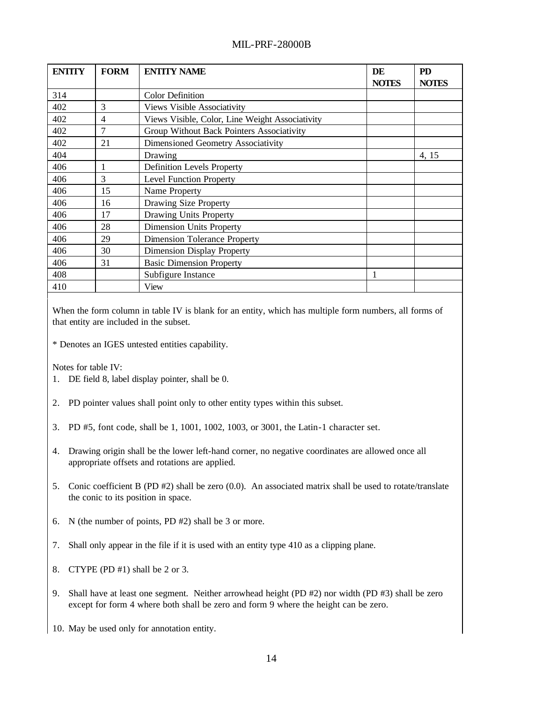| <b>ENTITY</b> | <b>FORM</b>    | <b>ENTITY NAME</b>                              | DE           | <b>PD</b>    |
|---------------|----------------|-------------------------------------------------|--------------|--------------|
|               |                |                                                 | <b>NOTES</b> | <b>NOTES</b> |
| 314           |                | <b>Color Definition</b>                         |              |              |
| 402           | 3              | <b>Views Visible Associativity</b>              |              |              |
| 402           | $\overline{4}$ | Views Visible, Color, Line Weight Associativity |              |              |
| 402           | $\tau$         | Group Without Back Pointers Associativity       |              |              |
| 402           | 21             | Dimensioned Geometry Associativity              |              |              |
| 404           |                | Drawing                                         |              | 4, 15        |
| 406           | 1              | <b>Definition Levels Property</b>               |              |              |
| 406           | 3              | <b>Level Function Property</b>                  |              |              |
| 406           | 15             | Name Property                                   |              |              |
| 406           | 16             | Drawing Size Property                           |              |              |
| 406           | 17             | Drawing Units Property                          |              |              |
| 406           | 28             | <b>Dimension Units Property</b>                 |              |              |
| 406           | 29             | <b>Dimension Tolerance Property</b>             |              |              |
| 406           | 30             | <b>Dimension Display Property</b>               |              |              |
| 406           | 31             | <b>Basic Dimension Property</b>                 |              |              |
| 408           |                | Subfigure Instance                              |              |              |
| 410           |                | View                                            |              |              |

When the form column in table IV is blank for an entity, which has multiple form numbers, all forms of that entity are included in the subset.

\* Denotes an IGES untested entities capability.

Notes for table IV:

- 1. DE field 8, label display pointer, shall be 0.
- 2. PD pointer values shall point only to other entity types within this subset.
- 3. PD #5, font code, shall be 1, 1001, 1002, 1003, or 3001, the Latin-1 character set.
- 4. Drawing origin shall be the lower left-hand corner, no negative coordinates are allowed once all appropriate offsets and rotations are applied.
- 5. Conic coefficient B (PD #2) shall be zero (0.0). An associated matrix shall be used to rotate/translate the conic to its position in space.
- 6. N (the number of points, PD #2) shall be 3 or more.
- 7. Shall only appear in the file if it is used with an entity type 410 as a clipping plane.
- 8. CTYPE (PD #1) shall be 2 or 3.
- 9. Shall have at least one segment. Neither arrowhead height (PD #2) nor width (PD #3) shall be zero except for form 4 where both shall be zero and form 9 where the height can be zero.
- 10. May be used only for annotation entity.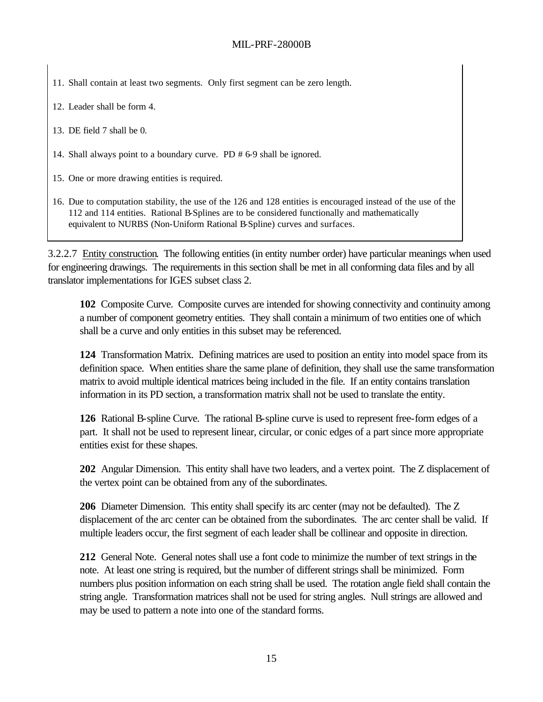- 11. Shall contain at least two segments. Only first segment can be zero length.
- 12. Leader shall be form 4.
- 13. DE field 7 shall be 0.
- 14. Shall always point to a boundary curve. PD # 6-9 shall be ignored.
- 15. One or more drawing entities is required.
- 16. Due to computation stability, the use of the 126 and 128 entities is encouraged instead of the use of the 112 and 114 entities. Rational B-Splines are to be considered functionally and mathematically equivalent to NURBS (Non-Uniform Rational B-Spline) curves and surfaces.

3.2.2.7 Entity construction. The following entities (in entity number order) have particular meanings when used for engineering drawings. The requirements in this section shall be met in all conforming data files and by all translator implementations for IGES subset class 2.

**102** Composite Curve. Composite curves are intended for showing connectivity and continuity among a number of component geometry entities. They shall contain a minimum of two entities one of which shall be a curve and only entities in this subset may be referenced.

**124** Transformation Matrix. Defining matrices are used to position an entity into model space from its definition space. When entities share the same plane of definition, they shall use the same transformation matrix to avoid multiple identical matrices being included in the file. If an entity contains translation information in its PD section, a transformation matrix shall not be used to translate the entity.

**126** Rational B-spline Curve. The rational B-spline curve is used to represent free-form edges of a part. It shall not be used to represent linear, circular, or conic edges of a part since more appropriate entities exist for these shapes.

**202** Angular Dimension. This entity shall have two leaders, and a vertex point. The Z displacement of the vertex point can be obtained from any of the subordinates.

**206** Diameter Dimension. This entity shall specify its arc center (may not be defaulted). The Z displacement of the arc center can be obtained from the subordinates. The arc center shall be valid. If multiple leaders occur, the first segment of each leader shall be collinear and opposite in direction.

**212** General Note. General notes shall use a font code to minimize the number of text strings in the note. At least one string is required, but the number of different strings shall be minimized. Form numbers plus position information on each string shall be used. The rotation angle field shall contain the string angle. Transformation matrices shall not be used for string angles. Null strings are allowed and may be used to pattern a note into one of the standard forms.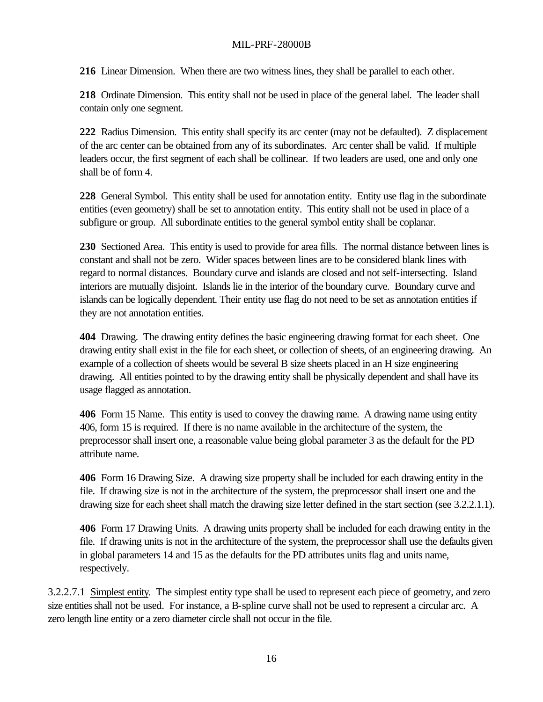**216** Linear Dimension. When there are two witness lines, they shall be parallel to each other.

**218** Ordinate Dimension. This entity shall not be used in place of the general label. The leader shall contain only one segment.

**222** Radius Dimension. This entity shall specify its arc center (may not be defaulted). Z displacement of the arc center can be obtained from any of its subordinates. Arc center shall be valid. If multiple leaders occur, the first segment of each shall be collinear. If two leaders are used, one and only one shall be of form 4.

**228** General Symbol. This entity shall be used for annotation entity. Entity use flag in the subordinate entities (even geometry) shall be set to annotation entity. This entity shall not be used in place of a subfigure or group. All subordinate entities to the general symbol entity shall be coplanar.

**230** Sectioned Area. This entity is used to provide for area fills. The normal distance between lines is constant and shall not be zero. Wider spaces between lines are to be considered blank lines with regard to normal distances. Boundary curve and islands are closed and not self-intersecting. Island interiors are mutually disjoint. Islands lie in the interior of the boundary curve. Boundary curve and islands can be logically dependent. Their entity use flag do not need to be set as annotation entities if they are not annotation entities.

**404** Drawing. The drawing entity defines the basic engineering drawing format for each sheet. One drawing entity shall exist in the file for each sheet, or collection of sheets, of an engineering drawing. An example of a collection of sheets would be several B size sheets placed in an H size engineering drawing. All entities pointed to by the drawing entity shall be physically dependent and shall have its usage flagged as annotation.

**406** Form 15 Name. This entity is used to convey the drawing name. A drawing name using entity 406, form 15 is required. If there is no name available in the architecture of the system, the preprocessor shall insert one, a reasonable value being global parameter 3 as the default for the PD attribute name.

**406** Form 16 Drawing Size. A drawing size property shall be included for each drawing entity in the file. If drawing size is not in the architecture of the system, the preprocessor shall insert one and the drawing size for each sheet shall match the drawing size letter defined in the start section (see 3.2.2.1.1).

**406** Form 17 Drawing Units. A drawing units property shall be included for each drawing entity in the file. If drawing units is not in the architecture of the system, the preprocessor shall use the defaults given in global parameters 14 and 15 as the defaults for the PD attributes units flag and units name, respectively.

3.2.2.7.1 Simplest entity. The simplest entity type shall be used to represent each piece of geometry, and zero size entities shall not be used. For instance, a B-spline curve shall not be used to represent a circular arc. A zero length line entity or a zero diameter circle shall not occur in the file.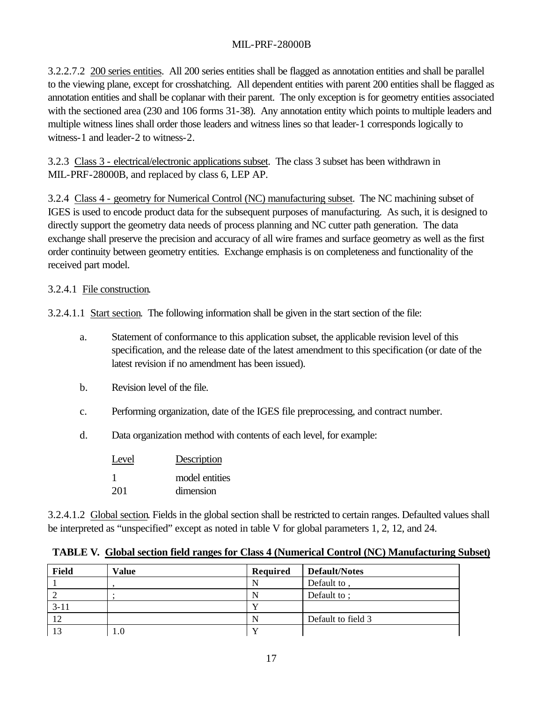3.2.2.7.2 200 series entities. All 200 series entities shall be flagged as annotation entities and shall be parallel to the viewing plane, except for crosshatching. All dependent entities with parent 200 entities shall be flagged as annotation entities and shall be coplanar with their parent. The only exception is for geometry entities associated with the sectioned area (230 and 106 forms 31-38). Any annotation entity which points to multiple leaders and multiple witness lines shall order those leaders and witness lines so that leader-1 corresponds logically to witness-1 and leader-2 to witness-2.

3.2.3 Class 3 - electrical/electronic applications subset. The class 3 subset has been withdrawn in MIL-PRF-28000B, and replaced by class 6, LEP AP.

3.2.4 Class 4 - geometry for Numerical Control (NC) manufacturing subset. The NC machining subset of IGES is used to encode product data for the subsequent purposes of manufacturing. As such, it is designed to directly support the geometry data needs of process planning and NC cutter path generation. The data exchange shall preserve the precision and accuracy of all wire frames and surface geometry as well as the first order continuity between geometry entities. Exchange emphasis is on completeness and functionality of the received part model.

## 3.2.4.1 File construction.

3.2.4.1.1 Start section. The following information shall be given in the start section of the file:

- a. Statement of conformance to this application subset, the applicable revision level of this specification, and the release date of the latest amendment to this specification (or date of the latest revision if no amendment has been issued).
- b. Revision level of the file.
- c. Performing organization, date of the IGES file preprocessing, and contract number.
- d. Data organization method with contents of each level, for example:

| Level | Description    |
|-------|----------------|
|       | model entities |
| 201   | dimension      |

3.2.4.1.2 Global section. Fields in the global section shall be restricted to certain ranges. Defaulted values shall be interpreted as "unspecified" except as noted in table V for global parameters 1, 2, 12, and 24.

| <b>Field</b> | <b>Value</b> | <b>Required</b> | <b>Default/Notes</b> |
|--------------|--------------|-----------------|----------------------|
|              |              |                 | Default to,          |
|              |              |                 | Default to ;         |
| $3 - 11$     |              |                 |                      |
| 12           |              |                 | Default to field 3   |
| 13           | . U          |                 |                      |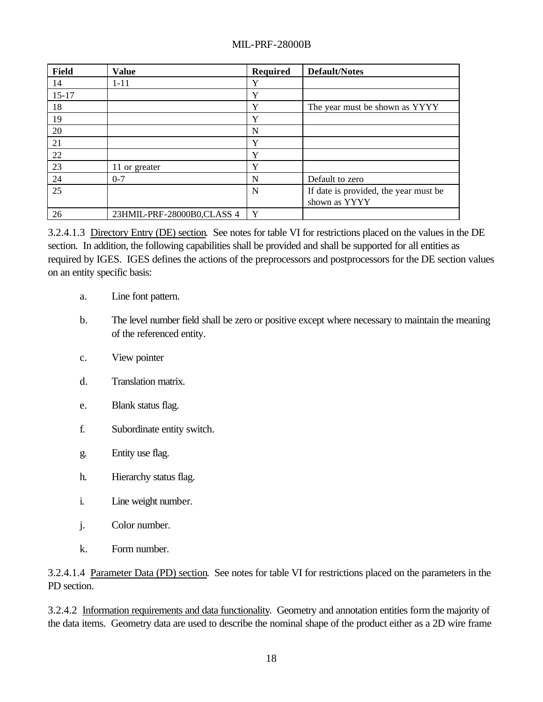| <b>Field</b> | <b>Value</b>               | Required | <b>Default/Notes</b>                  |
|--------------|----------------------------|----------|---------------------------------------|
| 14           | $1 - 11$                   | Y        |                                       |
| $15 - 17$    |                            | Y        |                                       |
| 18           |                            | Y        | The year must be shown as YYYY        |
| 19           |                            | Y        |                                       |
| 20           |                            | N        |                                       |
| 21           |                            | Y        |                                       |
| 22           |                            | Y        |                                       |
| 23           | 11 or greater              | Y        |                                       |
| 24           | $0 - 7$                    | N        | Default to zero                       |
| 25           |                            | N        | If date is provided, the year must be |
|              |                            |          | shown as YYYY                         |
| 26           | 23HMIL-PRF-28000B0,CLASS 4 | Y        |                                       |

3.2.4.1.3 Directory Entry (DE) section. See notes for table VI for restrictions placed on the values in the DE section. In addition, the following capabilities shall be provided and shall be supported for all entities as required by IGES. IGES defines the actions of the preprocessors and postprocessors for the DE section values on an entity specific basis:

## a. Line font pattern.

- b. The level number field shall be zero or positive except where necessary to maintain the meaning of the referenced entity.
- c. View pointer
- d. Translation matrix.
- e. Blank status flag.
- f. Subordinate entity switch.
- g. Entity use flag.
- h. Hierarchy status flag.
- i. Line weight number.
- j. Color number.
- k. Form number.

3.2.4.1.4 Parameter Data (PD) section. See notes for table VI for restrictions placed on the parameters in the PD section.

3.2.4.2 Information requirements and data functionality. Geometry and annotation entities form the majority of the data items. Geometry data are used to describe the nominal shape of the product either as a 2D wire frame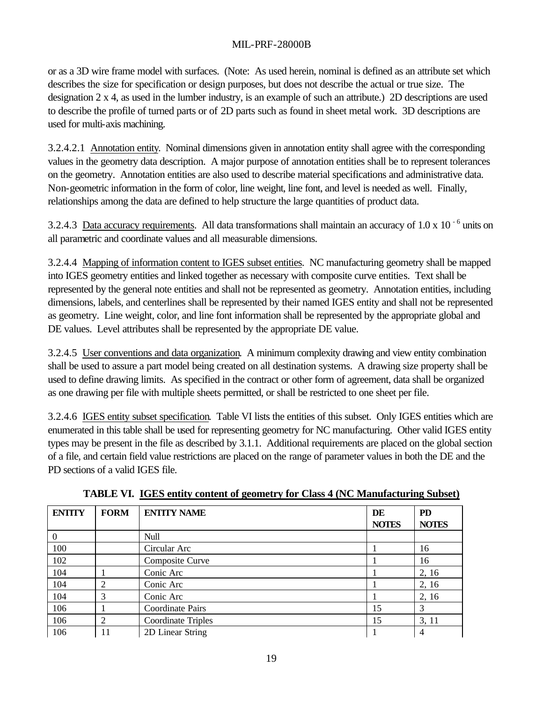or as a 3D wire frame model with surfaces. (Note: As used herein, nominal is defined as an attribute set which describes the size for specification or design purposes, but does not describe the actual or true size. The designation 2 x 4, as used in the lumber industry, is an example of such an attribute.) 2D descriptions are used to describe the profile of turned parts or of 2D parts such as found in sheet metal work. 3D descriptions are used for multi-axis machining.

3.2.4.2.1 Annotation entity. Nominal dimensions given in annotation entity shall agree with the corresponding values in the geometry data description. A major purpose of annotation entities shall be to represent tolerances on the geometry. Annotation entities are also used to describe material specifications and administrative data. Non-geometric information in the form of color, line weight, line font, and level is needed as well. Finally, relationships among the data are defined to help structure the large quantities of product data.

3.2.4.3 Data accuracy requirements. All data transformations shall maintain an accuracy of  $1.0 \times 10^{-6}$  units on all parametric and coordinate values and all measurable dimensions.

3.2.4.4 Mapping of information content to IGES subset entities. NC manufacturing geometry shall be mapped into IGES geometry entities and linked together as necessary with composite curve entities. Text shall be represented by the general note entities and shall not be represented as geometry. Annotation entities, including dimensions, labels, and centerlines shall be represented by their named IGES entity and shall not be represented as geometry. Line weight, color, and line font information shall be represented by the appropriate global and DE values. Level attributes shall be represented by the appropriate DE value.

3.2.4.5 User conventions and data organization. A minimum complexity drawing and view entity combination shall be used to assure a part model being created on all destination systems. A drawing size property shall be used to define drawing limits. As specified in the contract or other form of agreement, data shall be organized as one drawing per file with multiple sheets permitted, or shall be restricted to one sheet per file.

3.2.4.6 IGES entity subset specification. Table VI lists the entities of this subset. Only IGES entities which are enumerated in this table shall be used for representing geometry for NC manufacturing. Other valid IGES entity types may be present in the file as described by 3.1.1. Additional requirements are placed on the global section of a file, and certain field value restrictions are placed on the range of parameter values in both the DE and the PD sections of a valid IGES file.

| <b>ENTITY</b> | <b>FORM</b> | <b>ENTITY NAME</b>        | DE           | <b>PD</b>    |
|---------------|-------------|---------------------------|--------------|--------------|
|               |             |                           | <b>NOTES</b> | <b>NOTES</b> |
| $\Omega$      |             | Null                      |              |              |
| 100           |             | Circular Arc              |              | 16           |
| 102           |             | Composite Curve           |              | 16           |
| 104           |             | Conic Arc                 |              | 2, 16        |
| 104           | 2           | Conic Arc                 |              | 2, 16        |
| 104           | 3           | Conic Arc                 |              | 2, 16        |
| 106           |             | Coordinate Pairs          | 15           | 3            |
| 106           | 2           | <b>Coordinate Triples</b> | 15           | 3, 11        |
| 106           | 11          | 2D Linear String          |              | 4            |

**TABLE VI. IGES entity content of geometry for Class 4 (NC Manufacturing Subset)**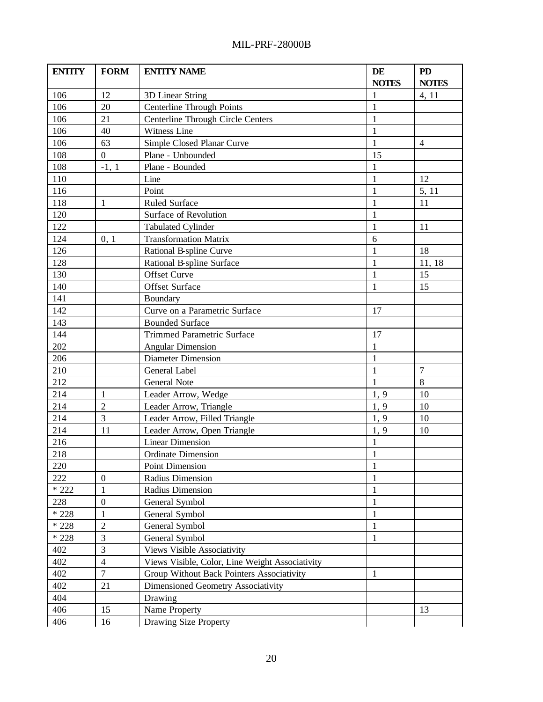| <b>ENTITY</b> | <b>FORM</b>      | <b>ENTITY NAME</b>                              | DE           | <b>PD</b>      |
|---------------|------------------|-------------------------------------------------|--------------|----------------|
|               |                  |                                                 | <b>NOTES</b> | <b>NOTES</b>   |
| 106           | 12               | 3D Linear String                                | 1            | 4, 11          |
| 106           | 20               | <b>Centerline Through Points</b>                | $\mathbf{1}$ |                |
| 106           | 21               | Centerline Through Circle Centers               | $\mathbf{1}$ |                |
| 106           | 40               | Witness Line                                    | $\mathbf{1}$ |                |
| 106           | 63               | Simple Closed Planar Curve                      | 1            | $\overline{4}$ |
| 108           | $\overline{0}$   | Plane - Unbounded                               | 15           |                |
| 108           | $-1, 1$          | Plane - Bounded                                 | $\mathbf{1}$ |                |
| 110           |                  | Line                                            | $\mathbf{1}$ | 12             |
| 116           |                  | Point                                           | 1            | 5, 11          |
| 118           | $\mathbf{1}$     | <b>Ruled Surface</b>                            | $\mathbf{1}$ | 11             |
| 120           |                  | Surface of Revolution                           | $\mathbf{1}$ |                |
| 122           |                  | <b>Tabulated Cylinder</b>                       | $\mathbf{1}$ | 11             |
| 124           | 0, 1             | <b>Transformation Matrix</b>                    | 6            |                |
| 126           |                  | Rational B-spline Curve                         | 1            | 18             |
| 128           |                  | Rational B-spline Surface                       | $\mathbf{1}$ | 11, 18         |
| 130           |                  | Offset Curve                                    | $\mathbf{1}$ | 15             |
| 140           |                  | <b>Offset Surface</b>                           | 1            | 15             |
| 141           |                  | Boundary                                        |              |                |
| 142           |                  | Curve on a Parametric Surface                   | 17           |                |
| 143           |                  | <b>Bounded Surface</b>                          |              |                |
| 144           |                  | <b>Trimmed Parametric Surface</b>               | 17           |                |
| 202           |                  | <b>Angular Dimension</b>                        | $\mathbf{1}$ |                |
| 206           |                  | Diameter Dimension                              | $\mathbf{1}$ |                |
| 210           |                  | General Label                                   | $\mathbf{1}$ | $\overline{7}$ |
| 212           |                  | <b>General Note</b>                             | $\mathbf{1}$ | 8              |
| 214           | $\mathbf{1}$     | Leader Arrow, Wedge                             | 1, 9         | 10             |
| 214           | $\overline{2}$   | Leader Arrow, Triangle                          | 1, 9         | 10             |
| 214           | $\overline{3}$   | Leader Arrow, Filled Triangle                   | 1, 9         | 10             |
| 214           | 11               | Leader Arrow, Open Triangle                     | 1, 9         | 10             |
| 216           |                  | <b>Linear Dimension</b>                         | $\mathbf{1}$ |                |
| 218           |                  | <b>Ordinate Dimension</b>                       | $\mathbf{1}$ |                |
|               |                  |                                                 |              |                |
| 220           |                  | Point Dimension                                 | 1            |                |
| 222           | $\boldsymbol{0}$ | Radius Dimension                                | 1            |                |
| $*222$        | 1                | Radius Dimension                                | 1            |                |
| 228           | $\boldsymbol{0}$ | General Symbol                                  | 1            |                |
| $*228$        | $\mathbf{1}$     | General Symbol                                  | $\mathbf{1}$ |                |
| $*228$        | $\mathbf{2}$     | General Symbol<br>1                             |              |                |
| $*228$        | $\overline{3}$   | General Symbol<br>$\mathbf{1}$                  |              |                |
| 402           | 3                | Views Visible Associativity                     |              |                |
| 402           | $\overline{4}$   | Views Visible, Color, Line Weight Associativity |              |                |
| 402           | $\overline{7}$   | Group Without Back Pointers Associativity<br>1  |              |                |
| 402           | 21               | Dimensioned Geometry Associativity              |              |                |
| 404           |                  | Drawing                                         |              |                |
| 406           | 15               | Name Property                                   |              | 13             |
| 406           | 16               | Drawing Size Property                           |              |                |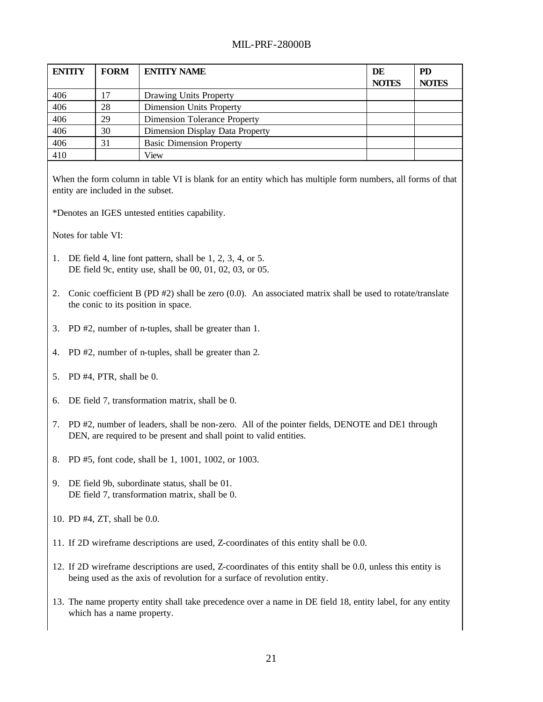| <b>ENTITY</b> | <b>FORM</b> | <b>ENTITY NAME</b>                  | DE<br><b>NOTES</b> | <b>PD</b><br><b>NOTES</b> |
|---------------|-------------|-------------------------------------|--------------------|---------------------------|
| 406           | 17          | Drawing Units Property              |                    |                           |
| 406           | 28          | <b>Dimension Units Property</b>     |                    |                           |
| 406           | 29          | <b>Dimension Tolerance Property</b> |                    |                           |
| 406           | 30          | Dimension Display Data Property     |                    |                           |
| 406           | 31          | <b>Basic Dimension Property</b>     |                    |                           |
| 410           |             | View                                |                    |                           |

When the form column in table VI is blank for an entity which has multiple form numbers, all forms of that entity are included in the subset.

\*Denotes an IGES untested entities capability.

Notes for table VI:

- 1. DE field 4, line font pattern, shall be 1, 2, 3, 4, or 5. DE field 9c, entity use, shall be 00, 01, 02, 03, or 05.
- 2. Conic coefficient B (PD #2) shall be zero (0.0). An associated matrix shall be used to rotate/translate the conic to its position in space.
- 3. PD #2, number of n-tuples, shall be greater than 1.
- 4. PD #2, number of n-tuples, shall be greater than 2.
- 5. PD #4, PTR, shall be 0.
- 6. DE field 7, transformation matrix, shall be 0.
- 7. PD #2, number of leaders, shall be non-zero. All of the pointer fields, DENOTE and DE1 through DEN, are required to be present and shall point to valid entities.
- 8. PD #5, font code, shall be 1, 1001, 1002, or 1003.
- 9. DE field 9b, subordinate status, shall be 01. DE field 7, transformation matrix, shall be 0.
- 10. PD #4, ZT, shall be 0.0.
- 11. If 2D wireframe descriptions are used, Z-coordinates of this entity shall be 0.0.
- 12. If 2D wireframe descriptions are used, Z-coordinates of this entity shall be 0.0, unless this entity is being used as the axis of revolution for a surface of revolution entity.
- 13. The name property entity shall take precedence over a name in DE field 18, entity label, for any entity which has a name property.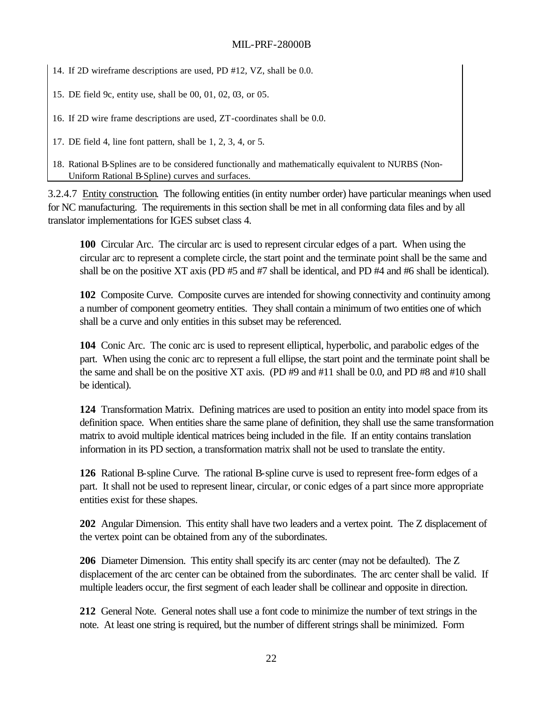- 14. If 2D wireframe descriptions are used, PD #12, VZ, shall be 0.0.
- 15. DE field 9c, entity use, shall be 00, 01, 02, 03, or 05.
- 16. If 2D wire frame descriptions are used, ZT-coordinates shall be 0.0.

17. DE field 4, line font pattern, shall be 1, 2, 3, 4, or 5.

18. Rational B-Splines are to be considered functionally and mathematically equivalent to NURBS (Non-Uniform Rational B-Spline) curves and surfaces.

3.2.4.7 Entity construction. The following entities (in entity number order) have particular meanings when used for NC manufacturing. The requirements in this section shall be met in all conforming data files and by all translator implementations for IGES subset class 4.

**100** Circular Arc. The circular arc is used to represent circular edges of a part. When using the circular arc to represent a complete circle, the start point and the terminate point shall be the same and shall be on the positive XT axis (PD #5 and #7 shall be identical, and PD #4 and #6 shall be identical).

**102** Composite Curve. Composite curves are intended for showing connectivity and continuity among a number of component geometry entities. They shall contain a minimum of two entities one of which shall be a curve and only entities in this subset may be referenced.

**104** Conic Arc. The conic arc is used to represent elliptical, hyperbolic, and parabolic edges of the part. When using the conic arc to represent a full ellipse, the start point and the terminate point shall be the same and shall be on the positive XT axis. (PD #9 and #11 shall be 0.0, and PD #8 and #10 shall be identical).

**124** Transformation Matrix. Defining matrices are used to position an entity into model space from its definition space. When entities share the same plane of definition, they shall use the same transformation matrix to avoid multiple identical matrices being included in the file. If an entity contains translation information in its PD section, a transformation matrix shall not be used to translate the entity.

**126** Rational B-spline Curve. The rational B-spline curve is used to represent free-form edges of a part. It shall not be used to represent linear, circular, or conic edges of a part since more appropriate entities exist for these shapes.

**202** Angular Dimension. This entity shall have two leaders and a vertex point. The Z displacement of the vertex point can be obtained from any of the subordinates.

**206** Diameter Dimension. This entity shall specify its arc center (may not be defaulted). The Z displacement of the arc center can be obtained from the subordinates. The arc center shall be valid. If multiple leaders occur, the first segment of each leader shall be collinear and opposite in direction.

**212** General Note. General notes shall use a font code to minimize the number of text strings in the note. At least one string is required, but the number of different strings shall be minimized. Form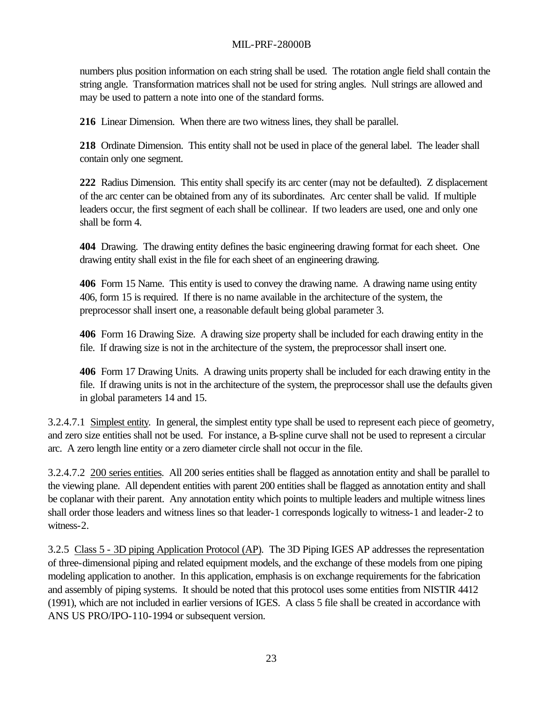numbers plus position information on each string shall be used. The rotation angle field shall contain the string angle. Transformation matrices shall not be used for string angles. Null strings are allowed and may be used to pattern a note into one of the standard forms.

**216** Linear Dimension. When there are two witness lines, they shall be parallel.

**218** Ordinate Dimension. This entity shall not be used in place of the general label. The leader shall contain only one segment.

**222** Radius Dimension. This entity shall specify its arc center (may not be defaulted). Z displacement of the arc center can be obtained from any of its subordinates. Arc center shall be valid. If multiple leaders occur, the first segment of each shall be collinear. If two leaders are used, one and only one shall be form 4.

**404** Drawing. The drawing entity defines the basic engineering drawing format for each sheet. One drawing entity shall exist in the file for each sheet of an engineering drawing.

**406** Form 15 Name. This entity is used to convey the drawing name. A drawing name using entity 406, form 15 is required. If there is no name available in the architecture of the system, the preprocessor shall insert one, a reasonable default being global parameter 3.

**406** Form 16 Drawing Size. A drawing size property shall be included for each drawing entity in the file. If drawing size is not in the architecture of the system, the preprocessor shall insert one.

**406** Form 17 Drawing Units. A drawing units property shall be included for each drawing entity in the file. If drawing units is not in the architecture of the system, the preprocessor shall use the defaults given in global parameters 14 and 15.

3.2.4.7.1 Simplest entity. In general, the simplest entity type shall be used to represent each piece of geometry, and zero size entities shall not be used. For instance, a B-spline curve shall not be used to represent a circular arc. A zero length line entity or a zero diameter circle shall not occur in the file.

3.2.4.7.2 200 series entities. All 200 series entities shall be flagged as annotation entity and shall be parallel to the viewing plane. All dependent entities with parent 200 entities shall be flagged as annotation entity and shall be coplanar with their parent. Any annotation entity which points to multiple leaders and multiple witness lines shall order those leaders and witness lines so that leader-1 corresponds logically to witness-1 and leader-2 to witness-2.

3.2.5 Class 5 - 3D piping Application Protocol (AP). The 3D Piping IGES AP addresses the representation of three-dimensional piping and related equipment models, and the exchange of these models from one piping modeling application to another. In this application, emphasis is on exchange requirements for the fabrication and assembly of piping systems. It should be noted that this protocol uses some entities from NISTIR 4412 (1991), which are not included in earlier versions of IGES. A class 5 file shall be created in accordance with ANS US PRO/IPO-110-1994 or subsequent version.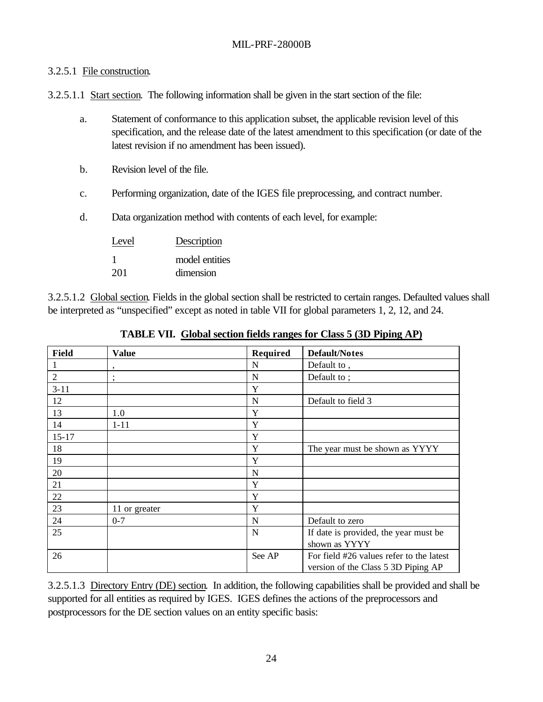## 3.2.5.1 File construction.

3.2.5.1.1 Start section. The following information shall be given in the start section of the file:

- a. Statement of conformance to this application subset, the applicable revision level of this specification, and the release date of the latest amendment to this specification (or date of the latest revision if no amendment has been issued).
- b. Revision level of the file.
- c. Performing organization, date of the IGES file preprocessing, and contract number.
- d. Data organization method with contents of each level, for example:

| Level | Description    |
|-------|----------------|
|       | model entities |
| 201   | dimension      |

3.2.5.1.2 Global section. Fields in the global section shall be restricted to certain ranges. Defaulted values shall be interpreted as "unspecified" except as noted in table VII for global parameters 1, 2, 12, and 24.

| <b>Field</b>   | <b>Value</b>  | <b>Required</b> | Default/Notes                                                                   |
|----------------|---------------|-----------------|---------------------------------------------------------------------------------|
| $\mathbf{1}$   |               | N               | Default to,                                                                     |
| $\overline{2}$ | ٠             | N               | Default to;                                                                     |
| $3-11$         |               | Y               |                                                                                 |
| 12             |               | N               | Default to field 3                                                              |
| 13             | 1.0           | Y               |                                                                                 |
| 14             | $1 - 11$      | Y               |                                                                                 |
| $15 - 17$      |               | Y               |                                                                                 |
| 18             |               | Y               | The year must be shown as YYYY                                                  |
| 19             |               | Y               |                                                                                 |
| 20             |               | N               |                                                                                 |
| 21             |               | Y               |                                                                                 |
| $22\,$         |               | Y               |                                                                                 |
| 23             | 11 or greater | Y               |                                                                                 |
| 24             | $0 - 7$       | N               | Default to zero                                                                 |
| 25             |               | N               | If date is provided, the year must be<br>shown as YYYY                          |
| 26             |               | See AP          | For field #26 values refer to the latest<br>version of the Class 5 3D Piping AP |

3.2.5.1.3 Directory Entry (DE) section. In addition, the following capabilities shall be provided and shall be supported for all entities as required by IGES. IGES defines the actions of the preprocessors and postprocessors for the DE section values on an entity specific basis: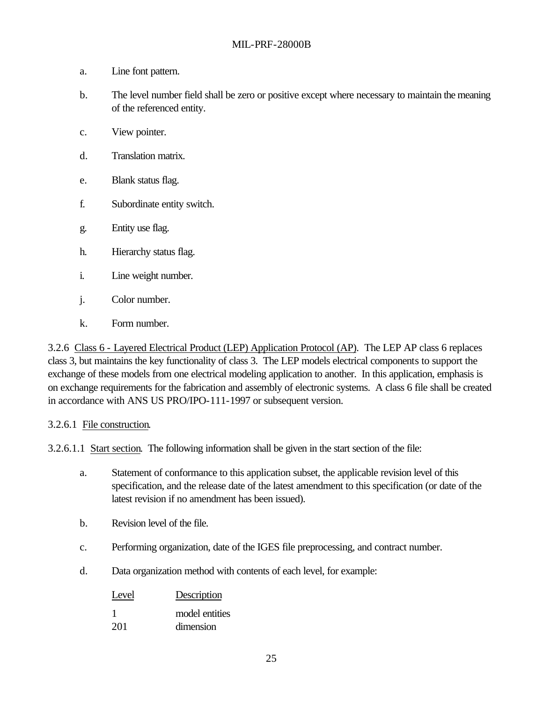- a. Line font pattern.
- b. The level number field shall be zero or positive except where necessary to maintain the meaning of the referenced entity.
- c. View pointer.
- d. Translation matrix.
- e. Blank status flag.
- f. Subordinate entity switch.
- g. Entity use flag.
- h. Hierarchy status flag.
- i. Line weight number.
- j. Color number.
- k. Form number.

3.2.6 Class 6 - Layered Electrical Product (LEP) Application Protocol (AP). The LEP AP class 6 replaces class 3, but maintains the key functionality of class 3. The LEP models electrical components to support the exchange of these models from one electrical modeling application to another. In this application, emphasis is on exchange requirements for the fabrication and assembly of electronic systems. A class 6 file shall be created in accordance with ANS US PRO/IPO-111-1997 or subsequent version.

#### 3.2.6.1 File construction.

3.2.6.1.1 Start section. The following information shall be given in the start section of the file:

- a. Statement of conformance to this application subset, the applicable revision level of this specification, and the release date of the latest amendment to this specification (or date of the latest revision if no amendment has been issued).
- b. Revision level of the file.
- c. Performing organization, date of the IGES file preprocessing, and contract number.
- d. Data organization method with contents of each level, for example:

| Level | Description    |
|-------|----------------|
|       | model entities |
| 201   | dimension      |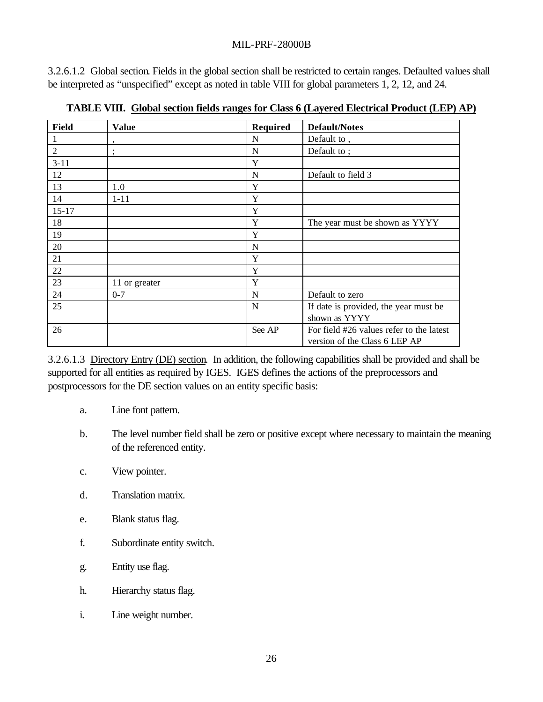3.2.6.1.2 Global section. Fields in the global section shall be restricted to certain ranges. Defaulted values shall be interpreted as "unspecified" except as noted in table VIII for global parameters 1, 2, 12, and 24.

| <b>Field</b>   | <b>Value</b>  | Required | <b>Default/Notes</b>                                                      |
|----------------|---------------|----------|---------------------------------------------------------------------------|
|                |               | N        | Default to,                                                               |
| $\mathfrak{2}$ | ۰             | N        | Default to;                                                               |
| $3 - 11$       |               | Y        |                                                                           |
| 12             |               | N        | Default to field 3                                                        |
| 13             | 1.0           | Y        |                                                                           |
| 14             | $1 - 11$      | Y        |                                                                           |
| $15 - 17$      |               | Y        |                                                                           |
| 18             |               | Y        | The year must be shown as YYYY                                            |
| 19             |               | Y        |                                                                           |
| 20             |               | N        |                                                                           |
| 21             |               | Y        |                                                                           |
| 22             |               | Y        |                                                                           |
| 23             | 11 or greater | Y        |                                                                           |
| 24             | $0 - 7$       | N        | Default to zero                                                           |
| 25             |               | N        | If date is provided, the year must be<br>shown as YYYY                    |
| 26             |               | See AP   | For field #26 values refer to the latest<br>version of the Class 6 LEP AP |

**TABLE VIII. Global section fields ranges for Class 6 (Layered Electrical Product (LEP) AP)**

3.2.6.1.3 Directory Entry (DE) section. In addition, the following capabilities shall be provided and shall be supported for all entities as required by IGES. IGES defines the actions of the preprocessors and postprocessors for the DE section values on an entity specific basis:

- a. Line font pattern.
- b. The level number field shall be zero or positive except where necessary to maintain the meaning of the referenced entity.
- c. View pointer.
- d. Translation matrix.
- e. Blank status flag.
- f. Subordinate entity switch.
- g. Entity use flag.
- h. Hierarchy status flag.
- i. Line weight number.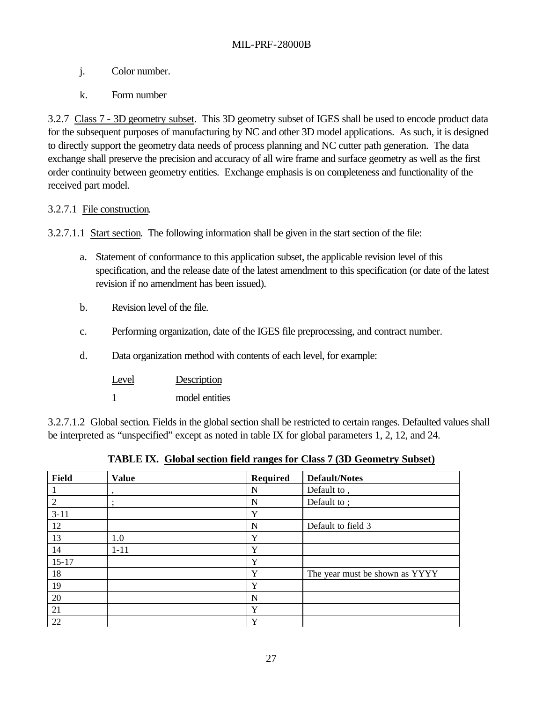- j. Color number.
- k. Form number

3.2.7 Class 7 - 3D geometry subset. This 3D geometry subset of IGES shall be used to encode product data for the subsequent purposes of manufacturing by NC and other 3D model applications. As such, it is designed to directly support the geometry data needs of process planning and NC cutter path generation. The data exchange shall preserve the precision and accuracy of all wire frame and surface geometry as well as the first order continuity between geometry entities. Exchange emphasis is on completeness and functionality of the received part model.

# 3.2.7.1 File construction.

3.2.7.1.1 Start section. The following information shall be given in the start section of the file:

- a. Statement of conformance to this application subset, the applicable revision level of this specification, and the release date of the latest amendment to this specification (or date of the latest revision if no amendment has been issued).
- b. Revision level of the file.
- c. Performing organization, date of the IGES file preprocessing, and contract number.
- d. Data organization method with contents of each level, for example:

| Level | Description    |
|-------|----------------|
|       | model entities |

3.2.7.1.2 Global section. Fields in the global section shall be restricted to certain ranges. Defaulted values shall be interpreted as "unspecified" except as noted in table IX for global parameters 1, 2, 12, and 24.

| <b>Field</b> | <b>Value</b> | <b>Required</b> | <b>Default/Notes</b>           |
|--------------|--------------|-----------------|--------------------------------|
|              |              | N               | Default to,                    |
| 2            |              | N               | Default to;                    |
| $3 - 11$     |              | Y               |                                |
| 12           |              | N               | Default to field 3             |
| 13           | 1.0          | Y               |                                |
| 14           | $1 - 11$     | Y               |                                |
| $15 - 17$    |              | Y               |                                |
| 18           |              | Y               | The year must be shown as YYYY |
| 19           |              | Y               |                                |
| 20           |              | N               |                                |
| 21           |              | Y               |                                |
| 22           |              | Y               |                                |

**TABLE IX. Global section field ranges for Class 7 (3D Geometry Subset)**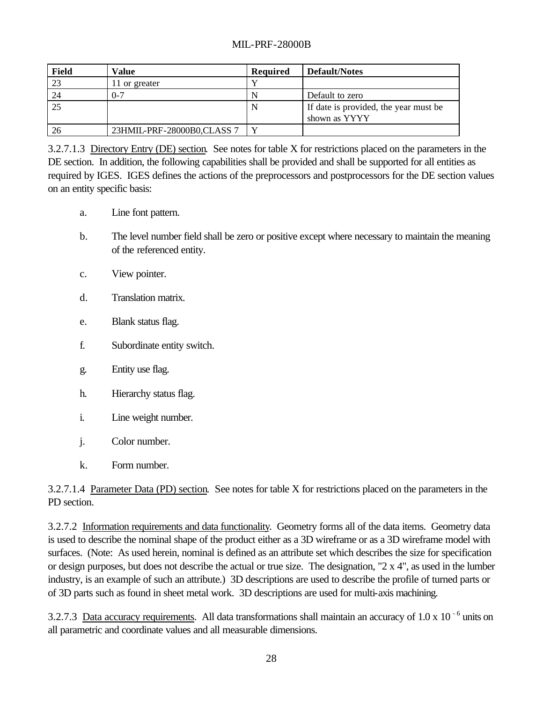| Field | Value                      | Required | Default/Notes                         |
|-------|----------------------------|----------|---------------------------------------|
| 23    | 11 or greater              |          |                                       |
| 24    | $0 - 7$                    |          | Default to zero                       |
| 25    |                            |          | If date is provided, the year must be |
|       |                            |          | shown as YYYY                         |
| 26    | 23HMIL-PRF-28000B0,CLASS 7 |          |                                       |

3.2.7.1.3 Directory Entry (DE) section. See notes for table X for restrictions placed on the parameters in the DE section. In addition, the following capabilities shall be provided and shall be supported for all entities as required by IGES. IGES defines the actions of the preprocessors and postprocessors for the DE section values on an entity specific basis:

- a. Line font pattern.
- b. The level number field shall be zero or positive except where necessary to maintain the meaning of the referenced entity.
- c. View pointer.
- d. Translation matrix.
- e. Blank status flag.
- f. Subordinate entity switch.
- g. Entity use flag.
- h. Hierarchy status flag.
- i. Line weight number.
- j. Color number.
- k. Form number.

3.2.7.1.4 Parameter Data (PD) section. See notes for table X for restrictions placed on the parameters in the PD section.

3.2.7.2 Information requirements and data functionality. Geometry forms all of the data items. Geometry data is used to describe the nominal shape of the product either as a 3D wireframe or as a 3D wireframe model with surfaces. (Note: As used herein, nominal is defined as an attribute set which describes the size for specification or design purposes, but does not describe the actual or true size. The designation, "2 x 4", as used in the lumber industry, is an example of such an attribute.) 3D descriptions are used to describe the profile of turned parts or of 3D parts such as found in sheet metal work. 3D descriptions are used for multi-axis machining.

3.2.7.3 Data accuracy requirements. All data transformations shall maintain an accuracy of  $1.0 \times 10^{-6}$  units on all parametric and coordinate values and all measurable dimensions.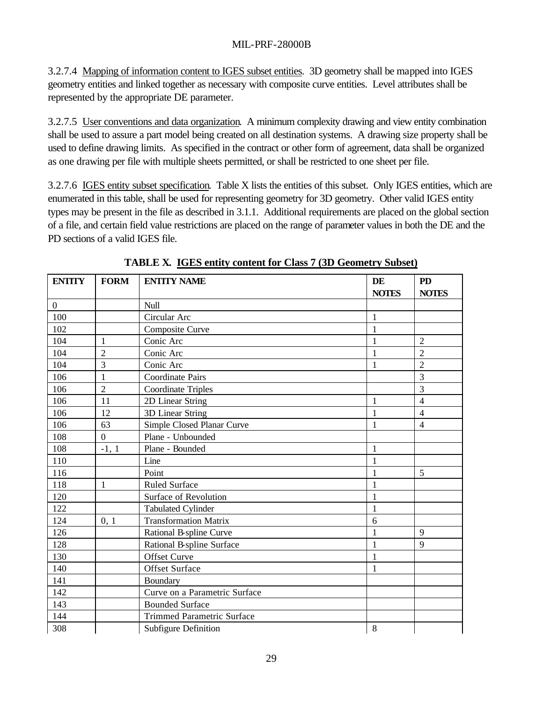3.2.7.4 Mapping of information content to IGES subset entities. 3D geometry shall be mapped into IGES geometry entities and linked together as necessary with composite curve entities. Level attributes shall be represented by the appropriate DE parameter.

3.2.7.5 User conventions and data organization. A minimum complexity drawing and view entity combination shall be used to assure a part model being created on all destination systems. A drawing size property shall be used to define drawing limits. As specified in the contract or other form of agreement, data shall be organized as one drawing per file with multiple sheets permitted, or shall be restricted to one sheet per file.

3.2.7.6 IGES entity subset specification. Table X lists the entities of this subset. Only IGES entities, which are enumerated in this table, shall be used for representing geometry for 3D geometry. Other valid IGES entity types may be present in the file as described in 3.1.1. Additional requirements are placed on the global section of a file, and certain field value restrictions are placed on the range of parameter values in both the DE and the PD sections of a valid IGES file.

| <b>ENTITY</b> | <b>FORM</b>    | <b>ENTITY NAME</b>                | DE           | <b>PD</b>      |
|---------------|----------------|-----------------------------------|--------------|----------------|
|               |                |                                   | <b>NOTES</b> | <b>NOTES</b>   |
| $\mathbf{0}$  |                | Null                              |              |                |
| 100           |                | Circular Arc                      | $\mathbf{1}$ |                |
| 102           |                | <b>Composite Curve</b>            | $\mathbf{1}$ |                |
| 104           | 1              | Conic Arc                         | 1            | $\overline{2}$ |
| 104           | $\overline{2}$ | Conic Arc                         | $\mathbf{1}$ | $\overline{2}$ |
| 104           | $\overline{3}$ | Conic Arc                         | $\mathbf{1}$ | $\overline{2}$ |
| 106           | $\mathbf{1}$   | <b>Coordinate Pairs</b>           |              | $\overline{3}$ |
| 106           | $\overline{2}$ | <b>Coordinate Triples</b>         |              | $\overline{3}$ |
| 106           | 11             | 2D Linear String                  | $\mathbf{1}$ | $\overline{4}$ |
| 106           | 12             | 3D Linear String                  | 1            | $\overline{4}$ |
| 106           | 63             | Simple Closed Planar Curve        | $\mathbf{1}$ | $\overline{4}$ |
| 108           | $\overline{0}$ | Plane - Unbounded                 |              |                |
| 108           | $-1, 1$        | Plane - Bounded                   | 1            |                |
| 110           |                | Line                              | $\mathbf{1}$ |                |
| 116           |                | Point                             | $\mathbf{1}$ | 5              |
| 118           | $\mathbf{1}$   | <b>Ruled Surface</b>              | $\mathbf{1}$ |                |
| 120           |                | Surface of Revolution             | 1            |                |
| 122           |                | <b>Tabulated Cylinder</b>         | $\mathbf{1}$ |                |
| 124           | 0, 1           | <b>Transformation Matrix</b>      | 6            |                |
| 126           |                | Rational B-spline Curve           | $\mathbf{1}$ | 9              |
| 128           |                | <b>Rational B-spline Surface</b>  | 1            | 9              |
| 130           |                | <b>Offset Curve</b>               | $\mathbf{1}$ |                |
| 140           |                | <b>Offset Surface</b>             | $\mathbf{1}$ |                |
| 141           |                | Boundary                          |              |                |
| 142           |                | Curve on a Parametric Surface     |              |                |
| 143           |                | <b>Bounded Surface</b>            |              |                |
| 144           |                | <b>Trimmed Parametric Surface</b> |              |                |
| 308           |                | Subfigure Definition              | 8            |                |

**TABLE X. IGES entity content for Class 7 (3D Geometry Subset)**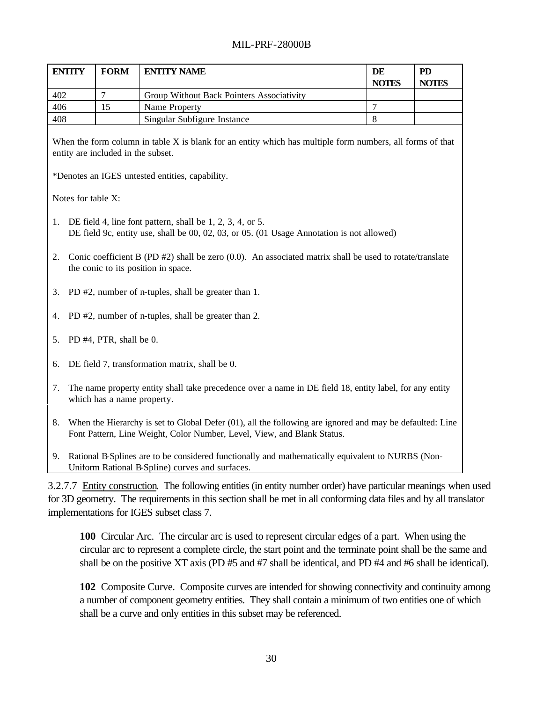| <b>ENTITY</b> | <b>FORM</b> | <b>ENTITY NAME</b>                               | DE<br><b>NOTES</b> | PD<br><b>NOTES</b> |
|---------------|-------------|--------------------------------------------------|--------------------|--------------------|
| 402           |             | <b>Group Without Back Pointers Associativity</b> |                    |                    |
| 406           |             | Name Property                                    |                    |                    |
| 408           |             | Singular Subfigure Instance                      |                    |                    |

When the form column in table X is blank for an entity which has multiple form numbers, all forms of that entity are included in the subset.

\*Denotes an IGES untested entities, capability.

Notes for table X:

- 1. DE field 4, line font pattern, shall be 1, 2, 3, 4, or 5. DE field 9c, entity use, shall be 00, 02, 03, or 05. (01 Usage Annotation is not allowed)
- 2. Conic coefficient B (PD  $#2$ ) shall be zero (0.0). An associated matrix shall be used to rotate/translate the conic to its position in space.
- 3. PD #2, number of n-tuples, shall be greater than 1.
- 4. PD #2, number of n-tuples, shall be greater than 2.
- 5. PD #4, PTR, shall be 0.
- 6. DE field 7, transformation matrix, shall be 0.
- 7. The name property entity shall take precedence over a name in DE field 18, entity label, for any entity which has a name property.
- 8. When the Hierarchy is set to Global Defer (01), all the following are ignored and may be defaulted: Line Font Pattern, Line Weight, Color Number, Level, View, and Blank Status.
- 9. Rational B-Splines are to be considered functionally and mathematically equivalent to NURBS (Non-Uniform Rational B-Spline) curves and surfaces.

3.2.7.7 Entity construction. The following entities (in entity number order) have particular meanings when used for 3D geometry. The requirements in this section shall be met in all conforming data files and by all translator implementations for IGES subset class 7.

**100** Circular Arc. The circular arc is used to represent circular edges of a part. When using the circular arc to represent a complete circle, the start point and the terminate point shall be the same and shall be on the positive XT axis (PD #5 and #7 shall be identical, and PD #4 and #6 shall be identical).

**102** Composite Curve. Composite curves are intended for showing connectivity and continuity among a number of component geometry entities. They shall contain a minimum of two entities one of which shall be a curve and only entities in this subset may be referenced.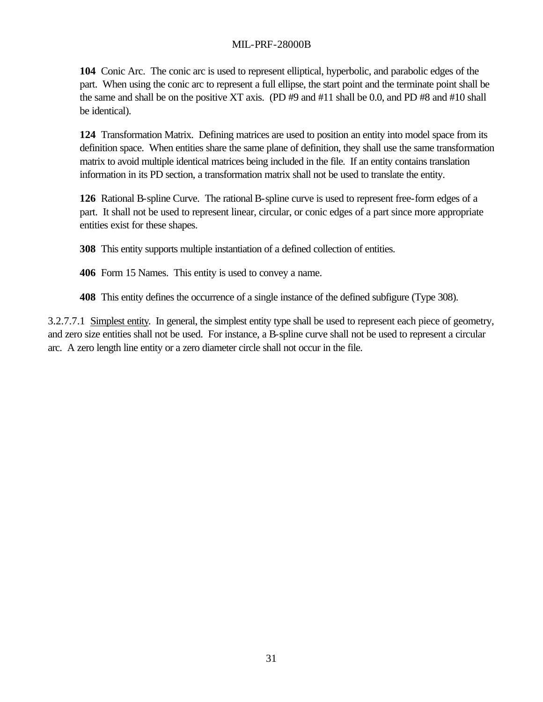**104** Conic Arc. The conic arc is used to represent elliptical, hyperbolic, and parabolic edges of the part. When using the conic arc to represent a full ellipse, the start point and the terminate point shall be the same and shall be on the positive XT axis. (PD #9 and #11 shall be 0.0, and PD #8 and #10 shall be identical).

**124** Transformation Matrix. Defining matrices are used to position an entity into model space from its definition space. When entities share the same plane of definition, they shall use the same transformation matrix to avoid multiple identical matrices being included in the file. If an entity contains translation information in its PD section, a transformation matrix shall not be used to translate the entity.

**126** Rational B-spline Curve. The rational B-spline curve is used to represent free-form edges of a part. It shall not be used to represent linear, circular, or conic edges of a part since more appropriate entities exist for these shapes.

**308** This entity supports multiple instantiation of a defined collection of entities.

**406** Form 15 Names. This entity is used to convey a name.

**408** This entity defines the occurrence of a single instance of the defined subfigure (Type 308).

3.2.7.7.1 Simplest entity. In general, the simplest entity type shall be used to represent each piece of geometry, and zero size entities shall not be used. For instance, a B-spline curve shall not be used to represent a circular arc. A zero length line entity or a zero diameter circle shall not occur in the file.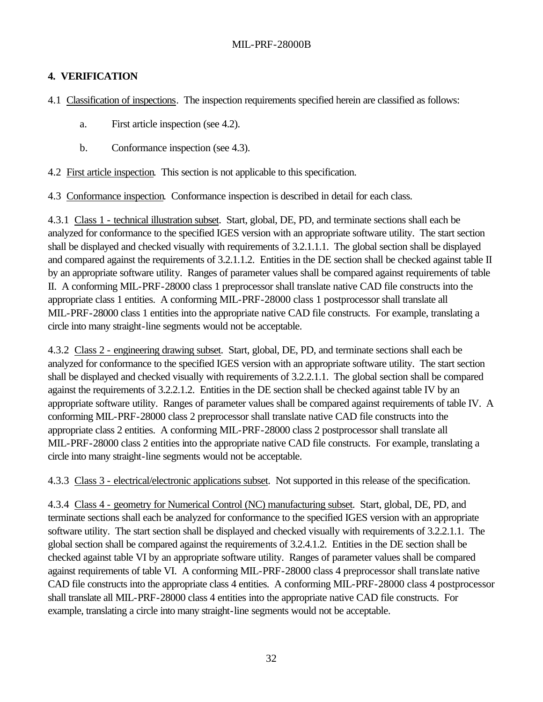# **4. VERIFICATION**

4.1 Classification of inspections. The inspection requirements specified herein are classified as follows:

- a. First article inspection (see 4.2).
- b. Conformance inspection (see 4.3).

4.2 First article inspection. This section is not applicable to this specification.

4.3 Conformance inspection. Conformance inspection is described in detail for each class.

4.3.1 Class 1 - technical illustration subset. Start, global, DE, PD, and terminate sections shall each be analyzed for conformance to the specified IGES version with an appropriate software utility. The start section shall be displayed and checked visually with requirements of 3.2.1.1.1. The global section shall be displayed and compared against the requirements of 3.2.1.1.2. Entities in the DE section shall be checked against table II by an appropriate software utility. Ranges of parameter values shall be compared against requirements of table II. A conforming MIL-PRF-28000 class 1 preprocessor shall translate native CAD file constructs into the appropriate class 1 entities. A conforming MIL-PRF-28000 class 1 postprocessor shall translate all MIL-PRF-28000 class 1 entities into the appropriate native CAD file constructs. For example, translating a circle into many straight-line segments would not be acceptable.

4.3.2 Class 2 - engineering drawing subset. Start, global, DE, PD, and terminate sections shall each be analyzed for conformance to the specified IGES version with an appropriate software utility. The start section shall be displayed and checked visually with requirements of 3.2.2.1.1. The global section shall be compared against the requirements of 3.2.2.1.2. Entities in the DE section shall be checked against table IV by an appropriate software utility. Ranges of parameter values shall be compared against requirements of table IV. A conforming MIL-PRF-28000 class 2 preprocessor shall translate native CAD file constructs into the appropriate class 2 entities. A conforming MIL-PRF-28000 class 2 postprocessor shall translate all MIL-PRF-28000 class 2 entities into the appropriate native CAD file constructs. For example, translating a circle into many straight-line segments would not be acceptable.

4.3.3 Class 3 - electrical/electronic applications subset. Not supported in this release of the specification.

4.3.4 Class 4 - geometry for Numerical Control (NC) manufacturing subset. Start, global, DE, PD, and terminate sections shall each be analyzed for conformance to the specified IGES version with an appropriate software utility. The start section shall be displayed and checked visually with requirements of 3.2.2.1.1. The global section shall be compared against the requirements of 3.2.4.1.2. Entities in the DE section shall be checked against table VI by an appropriate software utility. Ranges of parameter values shall be compared against requirements of table VI. A conforming MIL-PRF-28000 class 4 preprocessor shall translate native CAD file constructs into the appropriate class 4 entities. A conforming MIL-PRF-28000 class 4 postprocessor shall translate all MIL-PRF-28000 class 4 entities into the appropriate native CAD file constructs. For example, translating a circle into many straight-line segments would not be acceptable.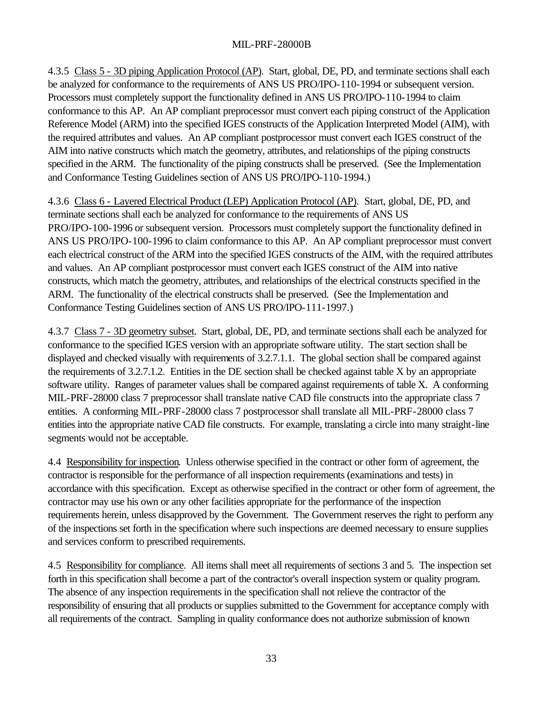4.3.5 Class 5 - 3D piping Application Protocol (AP). Start, global, DE, PD, and terminate sections shall each be analyzed for conformance to the requirements of ANS US PRO/IPO-110-1994 or subsequent version. Processors must completely support the functionality defined in ANS US PRO/IPO-110-1994 to claim conformance to this AP. An AP compliant preprocessor must convert each piping construct of the Application Reference Model (ARM) into the specified IGES constructs of the Application Interpreted Model (AIM), with the required attributes and values. An AP compliant postprocessor must convert each IGES construct of the AIM into native constructs which match the geometry, attributes, and relationships of the piping constructs specified in the ARM. The functionality of the piping constructs shall be preserved. (See the Implementation and Conformance Testing Guidelines section of ANS US PRO/IPO-110-1994.)

4.3.6 Class 6 - Layered Electrical Product (LEP) Application Protocol (AP). Start, global, DE, PD, and terminate sections shall each be analyzed for conformance to the requirements of ANS US PRO/IPO-100-1996 or subsequent version. Processors must completely support the functionality defined in ANS US PRO/IPO-100-1996 to claim conformance to this AP. An AP compliant preprocessor must convert each electrical construct of the ARM into the specified IGES constructs of the AIM, with the required attributes and values. An AP compliant postprocessor must convert each IGES construct of the AIM into native constructs, which match the geometry, attributes, and relationships of the electrical constructs specified in the ARM. The functionality of the electrical constructs shall be preserved. (See the Implementation and Conformance Testing Guidelines section of ANS US PRO/IPO-111-1997.)

4.3.7 Class 7 - 3D geometry subset. Start, global, DE, PD, and terminate sections shall each be analyzed for conformance to the specified IGES version with an appropriate software utility. The start section shall be displayed and checked visually with requirements of 3.2.7.1.1. The global section shall be compared against the requirements of 3.2.7.1.2. Entities in the DE section shall be checked against table X by an appropriate software utility. Ranges of parameter values shall be compared against requirements of table X. A conforming MIL-PRF-28000 class 7 preprocessor shall translate native CAD file constructs into the appropriate class 7 entities. A conforming MIL-PRF-28000 class 7 postprocessor shall translate all MIL-PRF-28000 class 7 entities into the appropriate native CAD file constructs. For example, translating a circle into many straight-line segments would not be acceptable.

4.4 Responsibility for inspection. Unless otherwise specified in the contract or other form of agreement, the contractor is responsible for the performance of all inspection requirements (examinations and tests) in accordance with this specification. Except as otherwise specified in the contract or other form of agreement, the contractor may use his own or any other facilities appropriate for the performance of the inspection requirements herein, unless disapproved by the Government. The Government reserves the right to perform any of the inspections set forth in the specification where such inspections are deemed necessary to ensure supplies and services conform to prescribed requirements.

4.5 Responsibility for compliance. All items shall meet all requirements of sections 3 and 5. The inspection set forth in this specification shall become a part of the contractor's overall inspection system or quality program. The absence of any inspection requirements in the specification shall not relieve the contractor of the responsibility of ensuring that all products or supplies submitted to the Government for acceptance comply with all requirements of the contract. Sampling in quality conformance does not authorize submission of known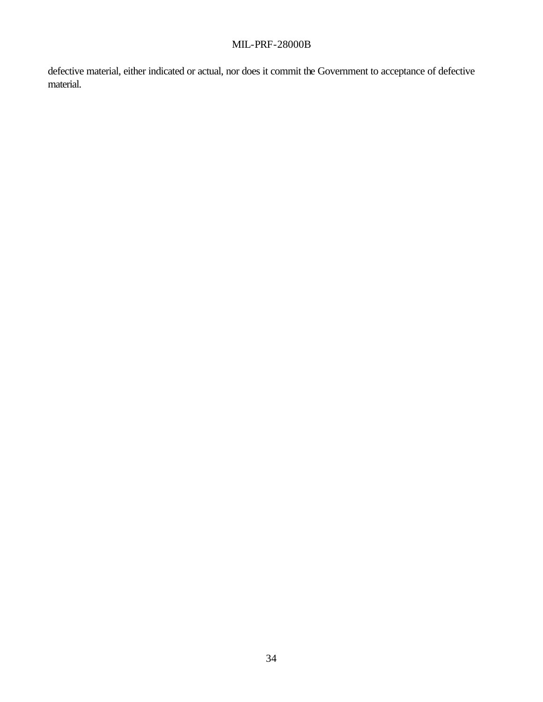defective material, either indicated or actual, nor does it commit the Government to acceptance of defective material.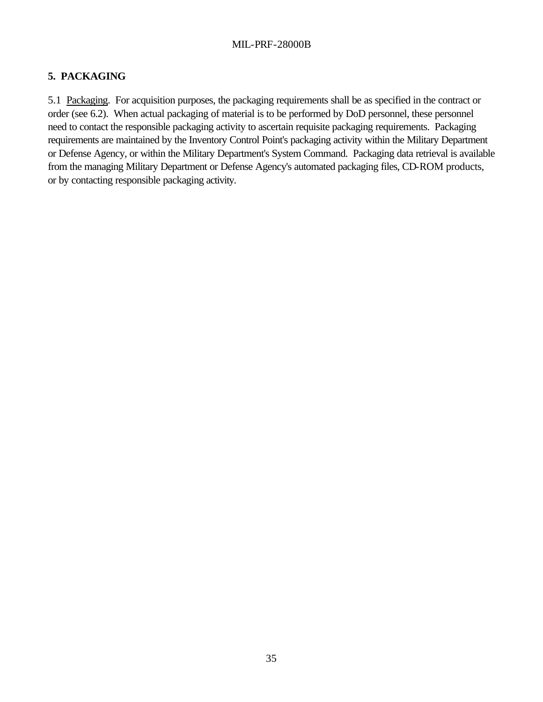# **5. PACKAGING**

5.1 Packaging. For acquisition purposes, the packaging requirements shall be as specified in the contract or order (see 6.2). When actual packaging of material is to be performed by DoD personnel, these personnel need to contact the responsible packaging activity to ascertain requisite packaging requirements. Packaging requirements are maintained by the Inventory Control Point's packaging activity within the Military Department or Defense Agency, or within the Military Department's System Command. Packaging data retrieval is available from the managing Military Department or Defense Agency's automated packaging files, CD-ROM products, or by contacting responsible packaging activity.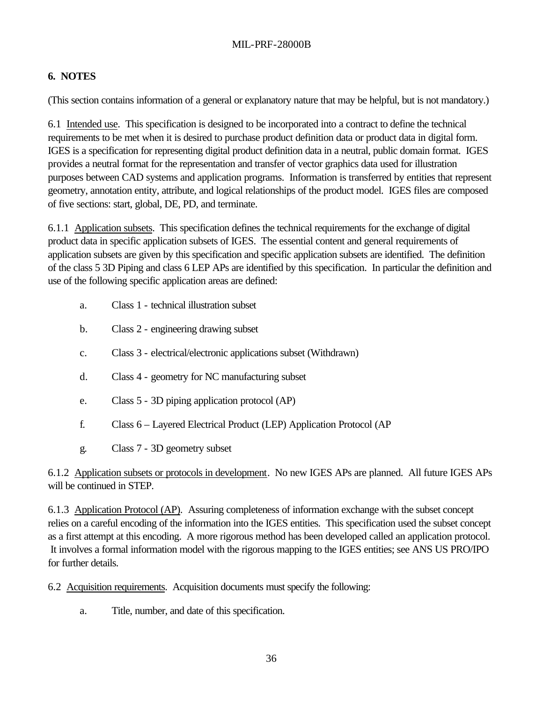# **6. NOTES**

(This section contains information of a general or explanatory nature that may be helpful, but is not mandatory.)

6.1 Intended use. This specification is designed to be incorporated into a contract to define the technical requirements to be met when it is desired to purchase product definition data or product data in digital form. IGES is a specification for representing digital product definition data in a neutral, public domain format. IGES provides a neutral format for the representation and transfer of vector graphics data used for illustration purposes between CAD systems and application programs. Information is transferred by entities that represent geometry, annotation entity, attribute, and logical relationships of the product model. IGES files are composed of five sections: start, global, DE, PD, and terminate.

6.1.1 Application subsets. This specification defines the technical requirements for the exchange of digital product data in specific application subsets of IGES. The essential content and general requirements of application subsets are given by this specification and specific application subsets are identified. The definition of the class 5 3D Piping and class 6 LEP APs are identified by this specification. In particular the definition and use of the following specific application areas are defined:

- a. Class 1 technical illustration subset
- b. Class 2 engineering drawing subset
- c. Class 3 electrical/electronic applications subset (Withdrawn)
- d. Class 4 geometry for NC manufacturing subset
- e. Class 5 3D piping application protocol (AP)
- f. Class 6 Layered Electrical Product (LEP) Application Protocol (AP
- g. Class 7 3D geometry subset

6.1.2 Application subsets or protocols in development. No new IGES APs are planned. All future IGES APs will be continued in STEP.

6.1.3 Application Protocol (AP). Assuring completeness of information exchange with the subset concept relies on a careful encoding of the information into the IGES entities. This specification used the subset concept as a first attempt at this encoding. A more rigorous method has been developed called an application protocol. It involves a formal information model with the rigorous mapping to the IGES entities; see ANS US PRO/IPO for further details.

6.2 Acquisition requirements. Acquisition documents must specify the following:

a. Title, number, and date of this specification.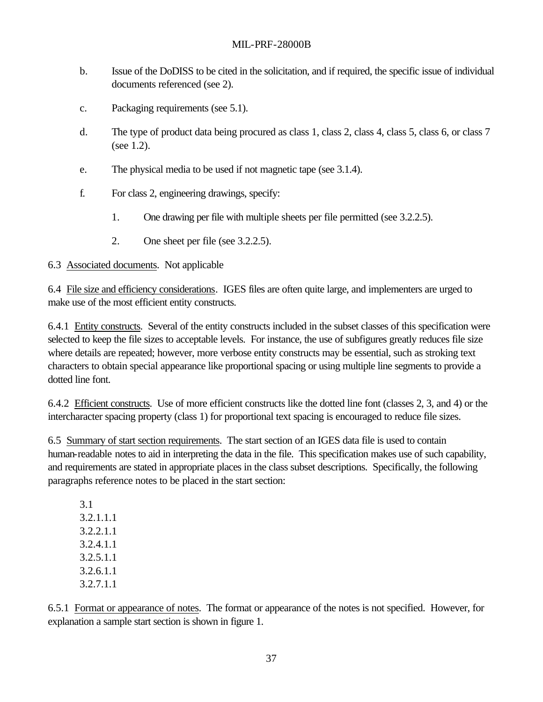- b. Issue of the DoDISS to be cited in the solicitation, and if required, the specific issue of individual documents referenced (see 2).
- c. Packaging requirements (see 5.1).
- d. The type of product data being procured as class 1, class 2, class 4, class 5, class 6, or class 7 (see 1.2).
- e. The physical media to be used if not magnetic tape (see 3.1.4).
- f. For class 2, engineering drawings, specify:
	- 1. One drawing per file with multiple sheets per file permitted (see 3.2.2.5).
	- 2. One sheet per file (see 3.2.2.5).

#### 6.3 Associated documents. Not applicable

6.4 File size and efficiency considerations. IGES files are often quite large, and implementers are urged to make use of the most efficient entity constructs.

6.4.1 Entity constructs. Several of the entity constructs included in the subset classes of this specification were selected to keep the file sizes to acceptable levels. For instance, the use of subfigures greatly reduces file size where details are repeated; however, more verbose entity constructs may be essential, such as stroking text characters to obtain special appearance like proportional spacing or using multiple line segments to provide a dotted line font.

6.4.2 Efficient constructs. Use of more efficient constructs like the dotted line font (classes 2, 3, and 4) or the intercharacter spacing property (class 1) for proportional text spacing is encouraged to reduce file sizes.

6.5 Summary of start section requirements. The start section of an IGES data file is used to contain human-readable notes to aid in interpreting the data in the file. This specification makes use of such capability, and requirements are stated in appropriate places in the class subset descriptions. Specifically, the following paragraphs reference notes to be placed in the start section:

3.1 3.2.1.1.1 3.2.2.1.1 3.2.4.1.1 3.2.5.1.1 3.2.6.1.1 3.2.7.1.1

6.5.1 Format or appearance of notes. The format or appearance of the notes is not specified. However, for explanation a sample start section is shown in figure 1.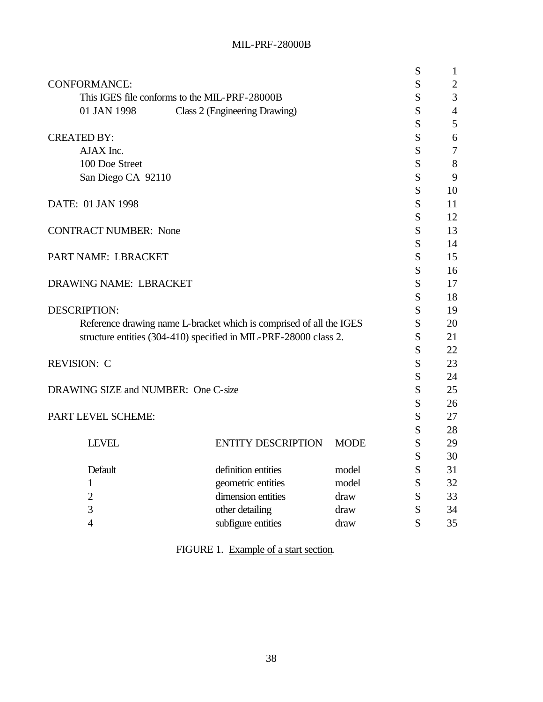|                                               |                                     |                                                                     |             | S         | $\mathbf{1}$   |
|-----------------------------------------------|-------------------------------------|---------------------------------------------------------------------|-------------|-----------|----------------|
| <b>CONFORMANCE:</b>                           |                                     |                                                                     |             |           | $\overline{2}$ |
| This IGES file conforms to the MIL-PRF-28000B |                                     |                                                                     | S           | 3         |                |
|                                               | 01 JAN 1998                         | Class 2 (Engineering Drawing)                                       |             | S         | $\overline{4}$ |
|                                               |                                     |                                                                     |             | ${\bf S}$ | 5              |
| <b>CREATED BY:</b>                            |                                     |                                                                     |             | S         | 6              |
|                                               | AJAX Inc.                           |                                                                     |             | S         | $\overline{7}$ |
|                                               | 100 Doe Street                      |                                                                     |             | S         | 8              |
|                                               | San Diego CA 92110                  |                                                                     |             | ${\bf S}$ | 9              |
|                                               |                                     |                                                                     |             | S         | 10             |
|                                               | DATE: 01 JAN 1998                   |                                                                     |             | S         | 11             |
|                                               |                                     |                                                                     |             | S         | 12             |
|                                               | <b>CONTRACT NUMBER: None</b>        |                                                                     |             | ${\bf S}$ | 13             |
|                                               |                                     |                                                                     |             | S         | 14             |
|                                               | PART NAME: LBRACKET                 |                                                                     |             | S         | 15             |
|                                               |                                     |                                                                     |             | S         | 16             |
|                                               | DRAWING NAME: LBRACKET              |                                                                     |             | ${\bf S}$ | 17             |
|                                               |                                     |                                                                     |             | S         | 18             |
| <b>DESCRIPTION:</b>                           |                                     |                                                                     |             | S         | 19             |
|                                               |                                     | Reference drawing name L-bracket which is comprised of all the IGES |             | S         | 20             |
|                                               |                                     | structure entities (304-410) specified in MIL-PRF-28000 class 2.    |             | ${\bf S}$ | 21             |
|                                               |                                     |                                                                     |             | S         | 22             |
| <b>REVISION: C</b>                            |                                     |                                                                     |             | S         | 23             |
|                                               |                                     |                                                                     |             | S         | 24             |
|                                               | DRAWING SIZE and NUMBER: One C-size |                                                                     |             | ${\bf S}$ | 25             |
|                                               |                                     |                                                                     |             | S         | 26             |
|                                               | PART LEVEL SCHEME:                  |                                                                     |             | S         | 27             |
|                                               |                                     |                                                                     |             | S         | 28             |
|                                               | <b>LEVEL</b>                        | <b>ENTITY DESCRIPTION</b>                                           | <b>MODE</b> | S         | 29             |
|                                               |                                     |                                                                     |             | S         | 30             |
|                                               | Default                             | definition entities                                                 | model       | ${\bf S}$ | 31             |
| $\mathbf{1}$                                  |                                     | geometric entities                                                  | model       | ${\bf S}$ | 32             |
| $\overline{c}$                                |                                     | dimension entities                                                  | draw        | ${\bf S}$ | 33             |
| 3                                             |                                     | other detailing                                                     | draw        | ${\bf S}$ | 34             |
| $\overline{4}$                                |                                     | subfigure entities                                                  | draw        | S         | 35             |
|                                               |                                     |                                                                     |             |           |                |

FIGURE 1. Example of a start section.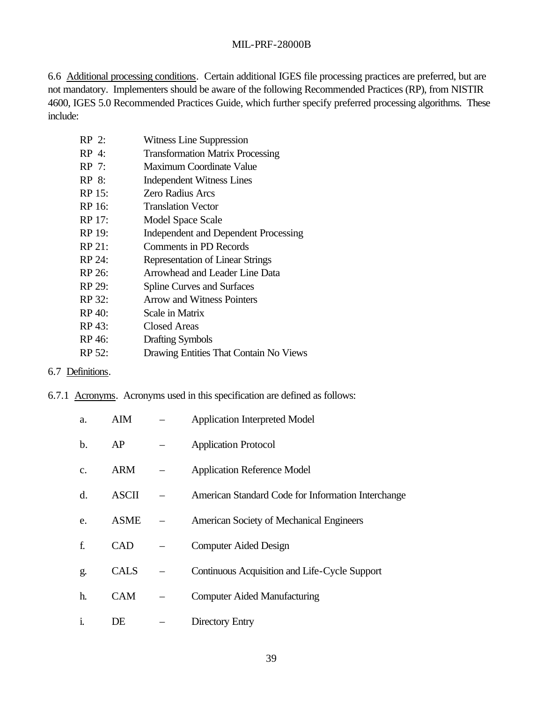6.6 Additional processing conditions. Certain additional IGES file processing practices are preferred, but are not mandatory. Implementers should be aware of the following Recommended Practices (RP), from NISTIR 4600, IGES 5.0 Recommended Practices Guide, which further specify preferred processing algorithms. These include:

| $RP$ 2: | Witness Line Suppression                    |
|---------|---------------------------------------------|
| $RP$ 4: | <b>Transformation Matrix Processing</b>     |
| RP 7:   | Maximum Coordinate Value                    |
| RP 8:   | <b>Independent Witness Lines</b>            |
| RP 15:  | Zero Radius Arcs                            |
| RP 16:  | <b>Translation Vector</b>                   |
| RP 17:  | Model Space Scale                           |
| RP 19:  | <b>Independent and Dependent Processing</b> |

- RP 21: Comments in PD Records
- RP 24: Representation of Linear Strings
- RP 26: Arrowhead and Leader Line Data
- RP 29: Spline Curves and Surfaces
- RP 32: Arrow and Witness Pointers
- RP 40: Scale in Matrix
- RP 43: Closed Areas
- RP 46: Drafting Symbols
- RP 52: Drawing Entities That Contain No Views

## 6.7 Definitions.

6.7.1 Acronyms. Acronyms used in this specification are defined as follows:

| a.             | <b>AIM</b>   | <b>Application Interpreted Model</b>               |
|----------------|--------------|----------------------------------------------------|
| $\mathbf b$ .  | AP           | <b>Application Protocol</b>                        |
| $\mathbf{C}$ . | <b>ARM</b>   | <b>Application Reference Model</b>                 |
| d.             | <b>ASCII</b> | American Standard Code for Information Interchange |
| e.             | <b>ASME</b>  | American Society of Mechanical Engineers           |
| f.             | CAD          | <b>Computer Aided Design</b>                       |
| g.             | <b>CALS</b>  | Continuous Acquisition and Life-Cycle Support      |
| h.             | <b>CAM</b>   | <b>Computer Aided Manufacturing</b>                |
| $\mathbf{i}$   | DE           | Directory Entry                                    |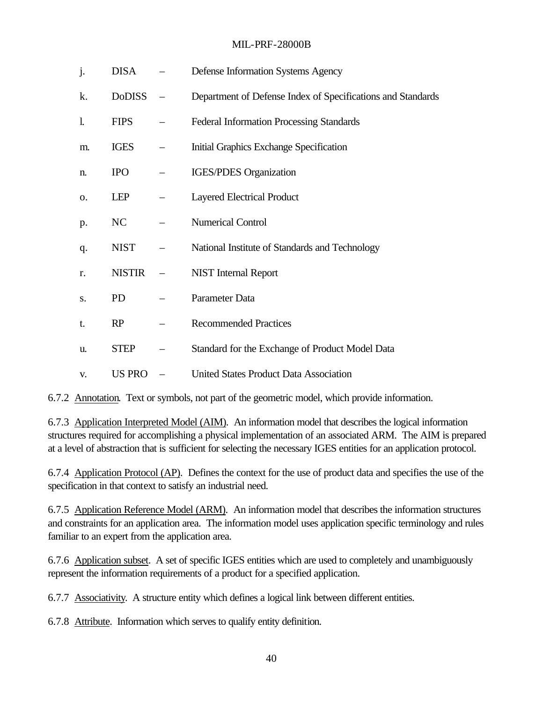| j.             | <b>DISA</b>   | Defense Information Systems Agency                          |
|----------------|---------------|-------------------------------------------------------------|
| k.             | <b>DoDISS</b> | Department of Defense Index of Specifications and Standards |
| $\mathbf{l}$ . | <b>FIPS</b>   | <b>Federal Information Processing Standards</b>             |
| m.             | <b>IGES</b>   | Initial Graphics Exchange Specification                     |
| n.             | <b>IPO</b>    | <b>IGES/PDES</b> Organization                               |
| О.             | <b>LEP</b>    | <b>Layered Electrical Product</b>                           |
| p.             | NC            | <b>Numerical Control</b>                                    |
| q.             | <b>NIST</b>   | National Institute of Standards and Technology              |
| r.             | <b>NISTIR</b> | <b>NIST</b> Internal Report                                 |
| S.             | <b>PD</b>     | Parameter Data                                              |
| t.             | RP            | <b>Recommended Practices</b>                                |
| u.             | <b>STEP</b>   | Standard for the Exchange of Product Model Data             |
| V.             | <b>US PRO</b> | <b>United States Product Data Association</b>               |

6.7.2 Annotation. Text or symbols, not part of the geometric model, which provide information.

6.7.3 Application Interpreted Model (AIM). An information model that describes the logical information structures required for accomplishing a physical implementation of an associated ARM. The AIM is prepared at a level of abstraction that is sufficient for selecting the necessary IGES entities for an application protocol.

6.7.4 Application Protocol (AP). Defines the context for the use of product data and specifies the use of the specification in that context to satisfy an industrial need.

6.7.5 Application Reference Model (ARM). An information model that describes the information structures and constraints for an application area. The information model uses application specific terminology and rules familiar to an expert from the application area.

6.7.6 Application subset. A set of specific IGES entities which are used to completely and unambiguously represent the information requirements of a product for a specified application.

6.7.7 Associativity. A structure entity which defines a logical link between different entities.

6.7.8 Attribute. Information which serves to qualify entity definition.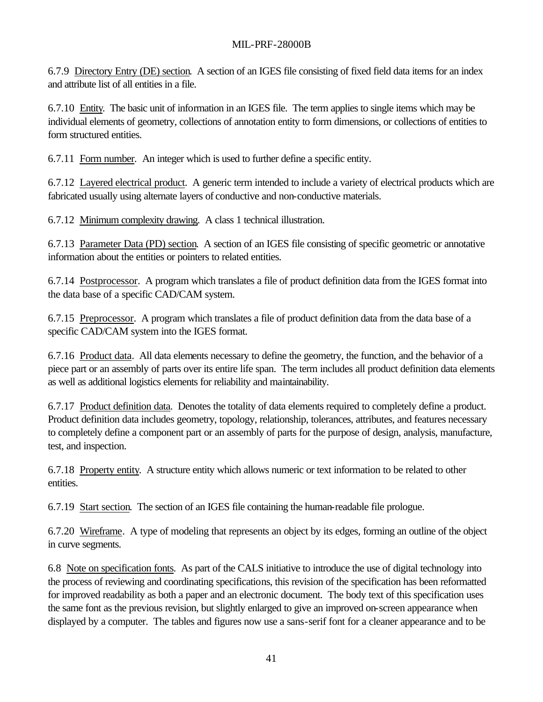6.7.9 Directory Entry (DE) section. A section of an IGES file consisting of fixed field data items for an index and attribute list of all entities in a file.

6.7.10 Entity. The basic unit of information in an IGES file. The term applies to single items which may be individual elements of geometry, collections of annotation entity to form dimensions, or collections of entities to form structured entities.

6.7.11 Form number. An integer which is used to further define a specific entity.

6.7.12 Layered electrical product. A generic term intended to include a variety of electrical products which are fabricated usually using alternate layers of conductive and non-conductive materials.

6.7.12 Minimum complexity drawing. A class 1 technical illustration.

6.7.13 Parameter Data (PD) section. A section of an IGES file consisting of specific geometric or annotative information about the entities or pointers to related entities.

6.7.14 Postprocessor. A program which translates a file of product definition data from the IGES format into the data base of a specific CAD/CAM system.

6.7.15 Preprocessor. A program which translates a file of product definition data from the data base of a specific CAD/CAM system into the IGES format.

6.7.16 Product data. All data elements necessary to define the geometry, the function, and the behavior of a piece part or an assembly of parts over its entire life span. The term includes all product definition data elements as well as additional logistics elements for reliability and maintainability.

6.7.17 Product definition data. Denotes the totality of data elements required to completely define a product. Product definition data includes geometry, topology, relationship, tolerances, attributes, and features necessary to completely define a component part or an assembly of parts for the purpose of design, analysis, manufacture, test, and inspection.

6.7.18 Property entity. A structure entity which allows numeric or text information to be related to other entities.

6.7.19 Start section. The section of an IGES file containing the human-readable file prologue.

6.7.20 Wireframe. A type of modeling that represents an object by its edges, forming an outline of the object in curve segments.

6.8 Note on specification fonts. As part of the CALS initiative to introduce the use of digital technology into the process of reviewing and coordinating specifications, this revision of the specification has been reformatted for improved readability as both a paper and an electronic document. The body text of this specification uses the same font as the previous revision, but slightly enlarged to give an improved on-screen appearance when displayed by a computer. The tables and figures now use a sans-serif font for a cleaner appearance and to be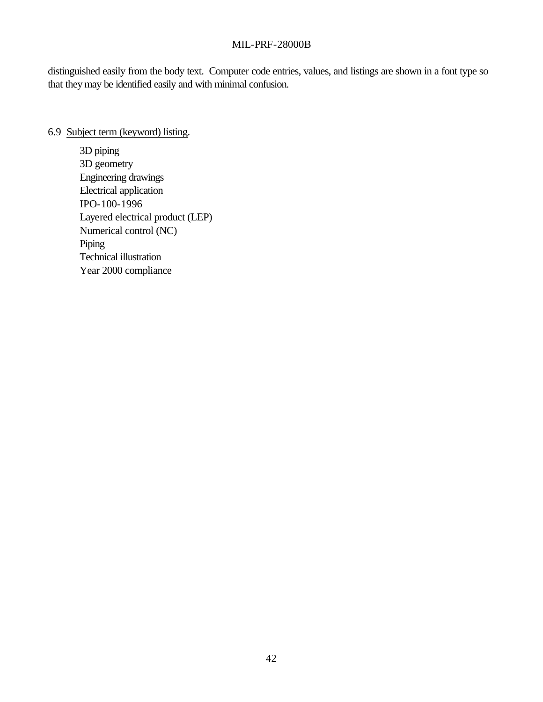distinguished easily from the body text. Computer code entries, values, and listings are shown in a font type so that they may be identified easily and with minimal confusion.

## 6.9 Subject term (keyword) listing.

3D piping 3D geometry Engineering drawings Electrical application IPO-100-1996 Layered electrical product (LEP) Numerical control (NC) Piping Technical illustration Year 2000 compliance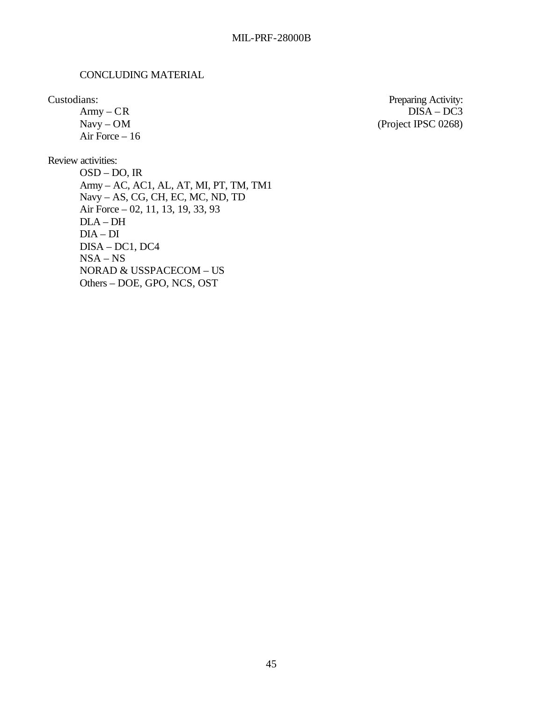#### CONCLUDING MATERIAL

Air Force  $-16$ 

Review activities:

OSD – DO, IR Army – AC, AC1, AL, AT, MI, PT, TM, TM1 Navy – AS, CG, CH, EC, MC, ND, TD Air Force – 02, 11, 13, 19, 33, 93 DLA – DH DIA – DI DISA – DC1, DC4 NSA – NS NORAD & USSPACECOM – US Others – DOE, GPO, NCS, OST

Custodians: Preparing Activity: Army – CR DISA – DC3 Army – CR DISA – DC3<br>Navy – OM (Project IPSC 0268) (Project IPSC 0268)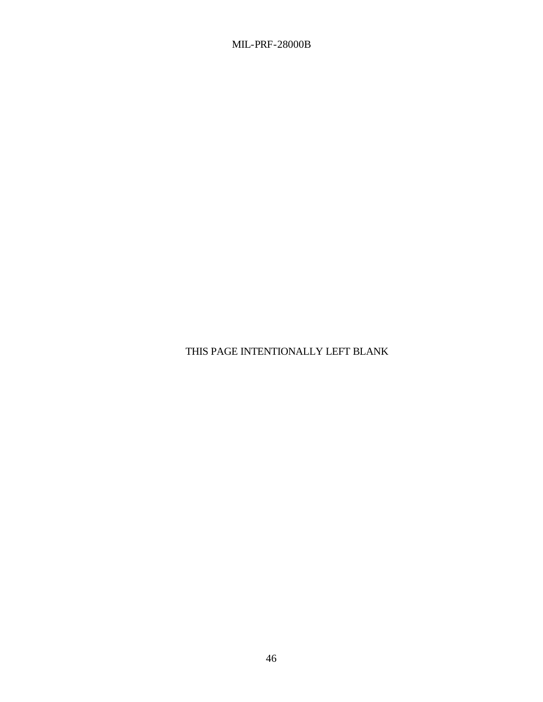THIS PAGE INTENTIONALLY LEFT BLANK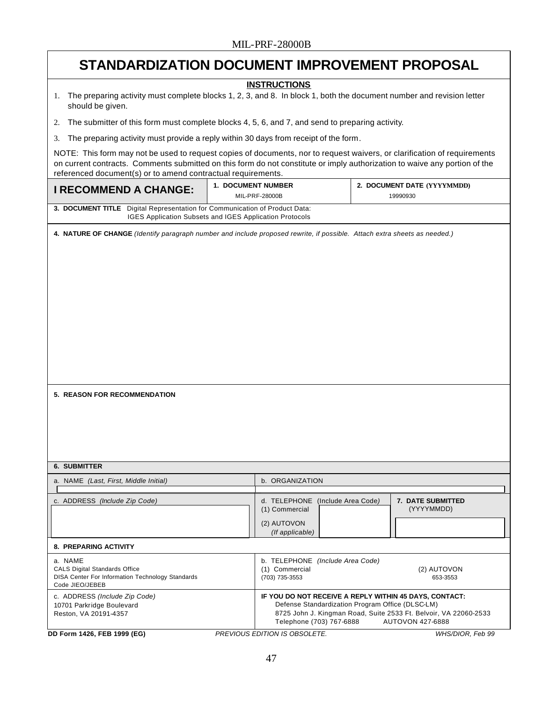# **STANDARDIZATION DOCUMENT IMPROVEMENT PROPOSAL**

**INSTRUCTIONS**

| 1. The preparing activity must complete blocks 1, 2, 3, and 8. In block 1, both the document number and revision letter |  |
|-------------------------------------------------------------------------------------------------------------------------|--|
| should be given.                                                                                                        |  |

- 2. The submitter of this form must complete blocks 4, 5, 6, and 7, and send to preparing activity.
- 3. The preparing activity must provide a reply within 30 days from receipt of the form.

NOTE: This form may not be used to request copies of documents, nor to request waivers, or clarification of requirements on current contracts. Comments submitted on this form do not constitute or imply authorization to waive any portion of the

| referenced document(s) or to amend contractual requirements.                                                              |                                                                                      |                                                                                                                                                                                                    |
|---------------------------------------------------------------------------------------------------------------------------|--------------------------------------------------------------------------------------|----------------------------------------------------------------------------------------------------------------------------------------------------------------------------------------------------|
| <b>I RECOMMEND A CHANGE:</b>                                                                                              | <b>1. DOCUMENT NUMBER</b><br>MIL-PRF-28000B                                          | 2. DOCUMENT DATE (YYYYMMDD)<br>19990930                                                                                                                                                            |
| 3. DOCUMENT TITLE Digital Representation for Communication of Product Data:                                               | IGES Application Subsets and IGES Application Protocols                              |                                                                                                                                                                                                    |
| 4. NATURE OF CHANGE (Identify paragraph number and include proposed rewrite, if possible. Attach extra sheets as needed.) |                                                                                      |                                                                                                                                                                                                    |
| <b>5. REASON FOR RECOMMENDATION</b>                                                                                       |                                                                                      |                                                                                                                                                                                                    |
| <b>6. SUBMITTER</b>                                                                                                       |                                                                                      |                                                                                                                                                                                                    |
| a. NAME (Last, First, Middle Initial)                                                                                     | b. ORGANIZATION                                                                      |                                                                                                                                                                                                    |
| c. ADDRESS (Include Zip Code)                                                                                             | d. TELEPHONE (Include Area Code)<br>(1) Commercial<br>(2) AUTOVON<br>(If applicable) | 7. DATE SUBMITTED<br>(YYYYMMDD)                                                                                                                                                                    |
| <b>8. PREPARING ACTIVITY</b>                                                                                              |                                                                                      |                                                                                                                                                                                                    |
| a. NAME<br>CALS Digital Standards Office<br>DISA Center For Information Technology Standards<br>Code JIEO/JEBEB           | b. TELEPHONE (Include Area Code)<br>(1) Commercial<br>(703) 735-3553                 | (2) AUTOVON<br>653-3553                                                                                                                                                                            |
| c. ADDRESS (Include Zip Code)<br>10701 Parkridge Boulevard<br>Reston, VA 20191-4357                                       | Telephone (703) 767-6888                                                             | IF YOU DO NOT RECEIVE A REPLY WITHIN 45 DAYS, CONTACT:<br>Defense Standardization Program Office (DLSC-LM)<br>8725 John J. Kingman Road, Suite 2533 Ft. Belvoir, VA 22060-2533<br>AUTOVON 427-6888 |
| DD Form 1426, FEB 1999 (EG)                                                                                               | PREVIOUS EDITION IS OBSOLETE.                                                        | WHS/DIOR, Feb 99                                                                                                                                                                                   |